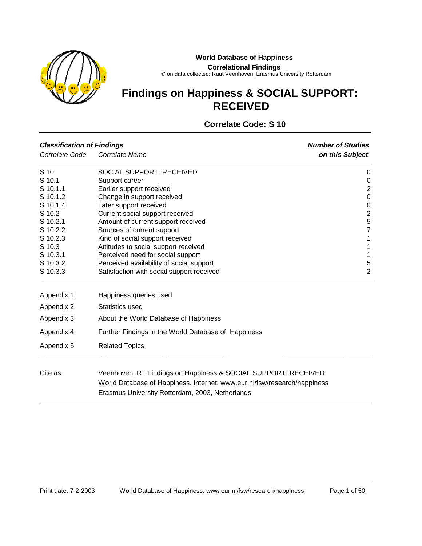

#### **World Database of Happiness**

**Correlational Findings**

© on data collected: Ruut Veenhoven, Erasmus University Rotterdam

# **Findings on Happiness & SOCIAL SUPPORT: RECEIVED**

## **Correlate Code: S 10**

| <b>Classification of Findings</b> |                                                                                                                                             | <b>Number of Studies</b> |
|-----------------------------------|---------------------------------------------------------------------------------------------------------------------------------------------|--------------------------|
| Correlate Code                    | Correlate Name                                                                                                                              | on this Subject          |
| S 10                              | <b>SOCIAL SUPPORT: RECEIVED</b>                                                                                                             | 0                        |
| S 10.1                            | Support career                                                                                                                              | 0                        |
| S 10.1.1                          | Earlier support received                                                                                                                    | $\overline{2}$           |
| S 10.1.2                          | Change in support received                                                                                                                  | 0                        |
| S 10.1.4                          | Later support received                                                                                                                      | $\mathbf 0$              |
| S 10.2                            | Current social support received                                                                                                             | $\overline{c}$           |
| S 10.2.1                          | Amount of current support received                                                                                                          | 5                        |
| S 10.2.2                          | Sources of current support                                                                                                                  | $\overline{7}$           |
| S 10.2.3                          | Kind of social support received                                                                                                             | 1                        |
| S 10.3                            | Attitudes to social support received                                                                                                        | 1                        |
| S 10.3.1                          | Perceived need for social support                                                                                                           | $\mathbf{1}$             |
| S 10.3.2                          | Perceived availability of social support                                                                                                    | 5                        |
| S 10.3.3                          | Satisfaction with social support received                                                                                                   | $\overline{2}$           |
| Appendix 1:                       | Happiness queries used                                                                                                                      |                          |
| Appendix 2:                       | Statistics used                                                                                                                             |                          |
| Appendix 3:                       | About the World Database of Happiness                                                                                                       |                          |
| Appendix 4:                       | Further Findings in the World Database of Happiness                                                                                         |                          |
| Appendix 5:                       | <b>Related Topics</b>                                                                                                                       |                          |
| Cite as:                          | Veenhoven, R.: Findings on Happiness & SOCIAL SUPPORT: RECEIVED<br>World Database of Happiness. Internet: www.eur.nl/fsw/research/happiness |                          |
|                                   | Erasmus University Rotterdam, 2003, Netherlands                                                                                             |                          |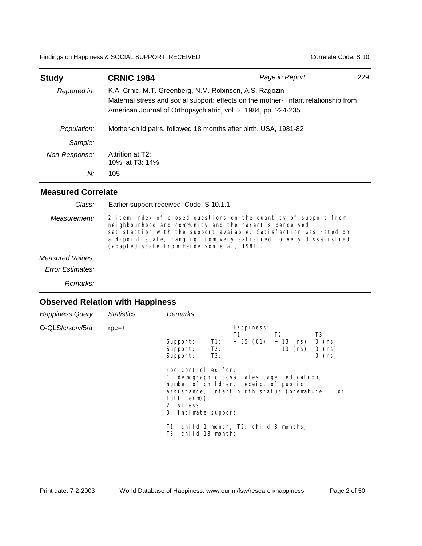| <b>Study</b>  | <b>CRNIC 1984</b>                                                                                                                                                                                                 | Page in Report: | 229 |
|---------------|-------------------------------------------------------------------------------------------------------------------------------------------------------------------------------------------------------------------|-----------------|-----|
| Reported in:  | K.A. Crnic, M.T. Greenberg, N.M. Robinson, A.S. Ragozin<br>Maternal stress and social support: effects on the mother- infant relationship from<br>American Journal of Orthopsychiatric, vol. 2, 1984, pp. 224-235 |                 |     |
| Population:   | Mother-child pairs, followed 18 months after birth, USA, 1981-82                                                                                                                                                  |                 |     |
| Sample:       |                                                                                                                                                                                                                   |                 |     |
| Non-Response: | Attrition at T2:<br>10%, at T3: 14%                                                                                                                                                                               |                 |     |
| N:            | 105                                                                                                                                                                                                               |                 |     |

#### **Measured Correlate**

Earlier support received Code: S 10.1.1 *Class:*

2-item index of closed questions on the quantity of support from neighbourhood and community and the parent's perceived satisfaction with the support avaiable. Satisfaction was rated on a 4-point scale, ranging from very satisfied to very dissatisfied (adapted scale from Henderson e.a., 1981). *Measurement:*

#### *Measured Values:*

*Error Estimates:*

*Remarks:*

| <b>Happiness Query</b> | <b>Statistics</b> | Remarks                                                                                                                                                                                                              |
|------------------------|-------------------|----------------------------------------------------------------------------------------------------------------------------------------------------------------------------------------------------------------------|
| O-QLS/c/sq/v/5/a       | $rpc=+$           | Happi ness:<br>T <sub>3</sub><br>T <sub>2</sub><br>T1<br>$+ .35(01) + .13(ns)$<br>Support:<br>$-11$ :<br>$0$ (ns)<br>$+ . 13$ (ns) 0 (ns)<br>Support: T2:<br>$0$ (ns)<br>Support:<br>T3:                             |
|                        |                   | rpc controlled for:<br>1. demographic covariates (age, education,<br>number of children, receipt of public<br>assistance, infant birth status (premature<br>or<br>$full term$ );<br>2. stress<br>3. intimate support |
|                        |                   | T1: child 1 month, T2: child 8 months,<br>T3: child 18 months                                                                                                                                                        |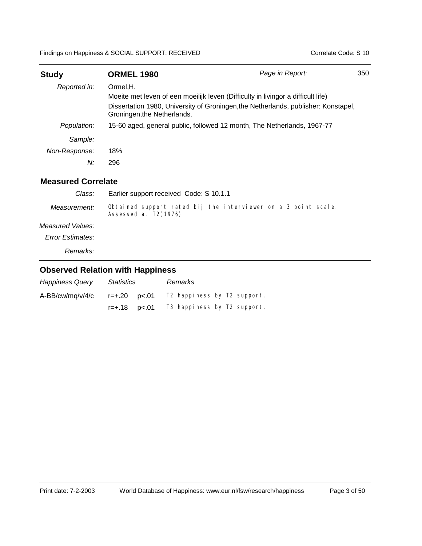| <b>Study</b>                                                                                                      | <b>ORMEL 1980</b>                                                                | Page in Report: | 350 |
|-------------------------------------------------------------------------------------------------------------------|----------------------------------------------------------------------------------|-----------------|-----|
| Reported in:                                                                                                      | Ormel, H.                                                                        |                 |     |
|                                                                                                                   | Moeite met leven of een moeilijk leven (Difficulty in livingor a difficult life) |                 |     |
| Dissertation 1980, University of Groningen, the Netherlands, publisher: Konstapel,<br>Groningen, the Netherlands. |                                                                                  |                 |     |
| Population:                                                                                                       | 15-60 aged, general public, followed 12 month, The Netherlands, 1967-77          |                 |     |
| Sample:                                                                                                           |                                                                                  |                 |     |
| Non-Response:                                                                                                     | 18%                                                                              |                 |     |
| N:                                                                                                                | 296                                                                              |                 |     |

#### **Measured Correlate**

| Class:           | Earlier support received Code: S 10.1.1                                                |
|------------------|----------------------------------------------------------------------------------------|
| Measurement:     | Obtained support rated bij the interviewer on a 3 point scale.<br>Assessed at T2(1976) |
| Measured Values: |                                                                                        |
| Error Estimates: |                                                                                        |
|                  |                                                                                        |

*Remarks:*

| <b>Happiness Query</b> | Statistics           | Remarks                     |  |
|------------------------|----------------------|-----------------------------|--|
| A-BB/cw/mg/v/4/c       |                      | T2 happiness by T2 support. |  |
|                        | $r = +.18$ $p < .01$ | T3 happiness by T2 support. |  |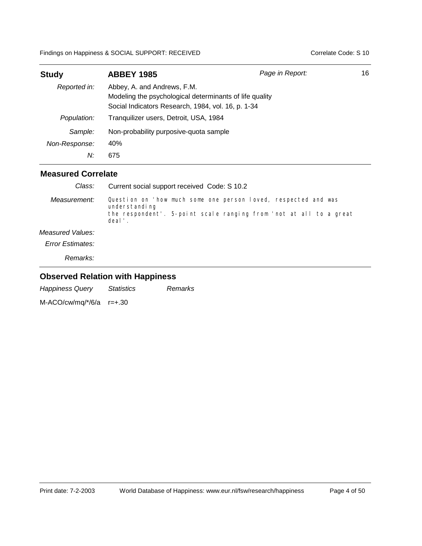| <b>Study</b>        | <b>ABBEY 1985</b>                                                                                                                            | Page in Report: | 16 |
|---------------------|----------------------------------------------------------------------------------------------------------------------------------------------|-----------------|----|
| Reported in:        | Abbey, A. and Andrews, F.M.<br>Modeling the psychological determinants of life quality<br>Social Indicators Research, 1984, vol. 16, p. 1-34 |                 |    |
| Population:         | Tranquilizer users, Detroit, USA, 1984                                                                                                       |                 |    |
| Sample:             | Non-probability purposive-quota sample                                                                                                       |                 |    |
| Non-Response:<br>N: | 40%<br>675                                                                                                                                   |                 |    |

#### **Measured Correlate**

| Class:           | Current social support received Code: S 10.2                                                                                                                    |
|------------------|-----------------------------------------------------------------------------------------------------------------------------------------------------------------|
| Measurement:     | Question on 'how much some one person loved, respected and was<br>understanding<br>the respondent'. 5-point scale ranging from 'not at all to a great<br>deal'. |
| Measured Values: |                                                                                                                                                                 |
| Error Estimates: |                                                                                                                                                                 |
| Remarks:         |                                                                                                                                                                 |

## **Observed Relation with Happiness**

|  | <b>Happiness Query</b> | <i>Statistics</i> | Remarks |
|--|------------------------|-------------------|---------|
|--|------------------------|-------------------|---------|

M-ACO/cw/mq/\*/6/a r=+.30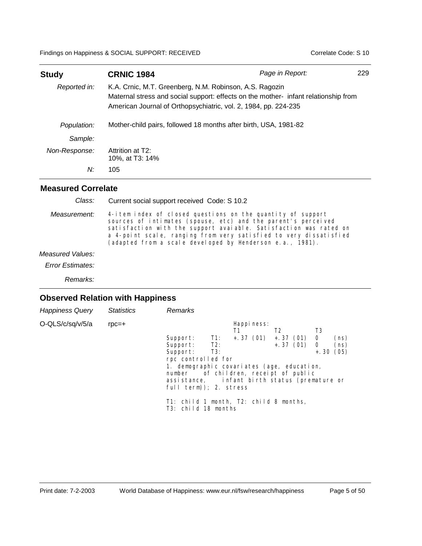| <b>Study</b>  | <b>CRNIC 1984</b>                                                                                                                                                                                                 | Page in Report: | 229 |
|---------------|-------------------------------------------------------------------------------------------------------------------------------------------------------------------------------------------------------------------|-----------------|-----|
| Reported in:  | K.A. Crnic, M.T. Greenberg, N.M. Robinson, A.S. Ragozin<br>Maternal stress and social support: effects on the mother- infant relationship from<br>American Journal of Orthopsychiatric, vol. 2, 1984, pp. 224-235 |                 |     |
| Population:   | Mother-child pairs, followed 18 months after birth, USA, 1981-82                                                                                                                                                  |                 |     |
| Sample:       |                                                                                                                                                                                                                   |                 |     |
| Non-Response: | Attrition at T2:<br>10%, at T3: 14%                                                                                                                                                                               |                 |     |
| N:            | 105                                                                                                                                                                                                               |                 |     |

Current social support received Code: S 10.2 *Class:*

4-item index of closed questions on the quantity of support sources of intimates (spouse, etc) and the parent's perceived satisfaction with the support avaiable. Satisfaction was rated on a 4-point scale, ranging from very satisfied to very dissatisfied (adapted from a scale developed by Henderson e.a., 1981). *Measurement:*

*Measured Values:*

*Error Estimates:*

*Remarks:*

| <b>Happiness Query</b> | <b>Statistics</b> | Remarks                                                                 |  |
|------------------------|-------------------|-------------------------------------------------------------------------|--|
| O-QLS/c/sq/v/5/a       | $rpc=+$           | Happi ness:                                                             |  |
|                        |                   | T3<br>T1<br>T <sub>2</sub>                                              |  |
|                        |                   | $+, 37$ (01) $+, 37$ (01)<br>Support: T1:<br>0<br>(ns)                  |  |
|                        |                   | $+, 37$ (01) 0<br>Support: T2:<br>(ns)                                  |  |
|                        |                   | Support: T3:<br>(05)<br>$+.30$                                          |  |
|                        |                   | rpc controlled for                                                      |  |
|                        |                   | 1. demographic covariates (age, education,                              |  |
|                        |                   | number of children, receipt of public                                   |  |
|                        |                   | assistance, infant birth status (premature or<br>full term)); 2. stress |  |
|                        |                   |                                                                         |  |
|                        |                   | T1: child 1 month, T2: child 8 months,<br>T3: child 18 months           |  |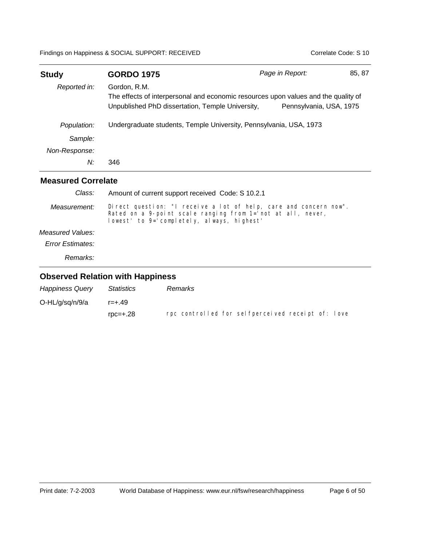| <b>Study</b>  | <b>GORDO 1975</b>                                                                                                                                      | Page in Report:         | 85, 87 |
|---------------|--------------------------------------------------------------------------------------------------------------------------------------------------------|-------------------------|--------|
| Reported in:  | Gordon, R.M.<br>The effects of interpersonal and economic resources upon values and the quality of<br>Unpublished PhD dissertation, Temple University, | Pennsylvania, USA, 1975 |        |
| Population:   | Undergraduate students, Temple University, Pennsylvania, USA, 1973                                                                                     |                         |        |
| Sample:       |                                                                                                                                                        |                         |        |
| Non-Response: |                                                                                                                                                        |                         |        |
| N:            | 346                                                                                                                                                    |                         |        |

| Class:           | Amount of current support received Code: S 10.2.1                                                                                                                              |
|------------------|--------------------------------------------------------------------------------------------------------------------------------------------------------------------------------|
| Measurement:     | Direct question: "I receive a lot of help, care and concern now".<br>Rated on a 9-point scale ranging from 1= not at all, never,<br>lowest' to 9='completely, always, highest' |
| Measured Values: |                                                                                                                                                                                |
| Error Estimates: |                                                                                                                                                                                |
| Remarks:         |                                                                                                                                                                                |
|                  |                                                                                                                                                                                |

| <b>Happiness Query</b> | Statistics        | Remarks                                           |
|------------------------|-------------------|---------------------------------------------------|
| O-HL/g/sg/n/9/a        | $r = +.49$        |                                                   |
|                        | $\text{roc}=+.28$ | rpc controlled for selfperceived receipt of: love |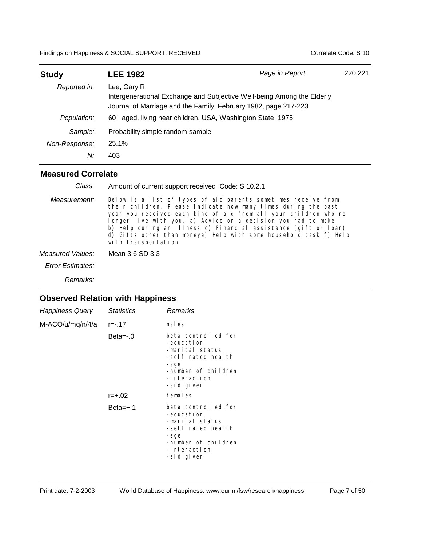| <b>Study</b>  | <b>LEE 1982</b>                                                                                                                                           | Page in Report: | 220,221 |
|---------------|-----------------------------------------------------------------------------------------------------------------------------------------------------------|-----------------|---------|
| Reported in:  | Lee, Gary R.<br>Intergenerational Exchange and Subjective Well-being Among the Elderly<br>Journal of Marriage and the Family, February 1982, page 217-223 |                 |         |
| Population:   | 60+ aged, living near children, USA, Washington State, 1975                                                                                               |                 |         |
| Sample:       | Probability simple random sample                                                                                                                          |                 |         |
| Non-Response: | 25.1%                                                                                                                                                     |                 |         |
| N:            | 403                                                                                                                                                       |                 |         |

#### **Measured Correlate**

| Class:                  | Amount of current support received Code: S 10.2.1                                                                                                                                                                                                                                                                                                                                                                                     |
|-------------------------|---------------------------------------------------------------------------------------------------------------------------------------------------------------------------------------------------------------------------------------------------------------------------------------------------------------------------------------------------------------------------------------------------------------------------------------|
| Measurement:            | Below is a list of types of aid parents sometimes receive from<br>their children. Please indicate how many times during the past<br>year you received each kind of aid from all your children who no<br>longer live with you. a) Advice on a decision you had to make<br>b) Help during an illness c) Financial assistance (gift or loan)<br>d) Gifts other than moneye) Help with some household task f) Help<br>with transportation |
| Measured Values:        | Mean 3.6 SD 3.3                                                                                                                                                                                                                                                                                                                                                                                                                       |
| <b>Error Estimates:</b> |                                                                                                                                                                                                                                                                                                                                                                                                                                       |

*Remarks:*

| <b>Happiness Query</b>    | <i><u><b>Statistics</b></u></i> | Remarks                                                                                                                                 |
|---------------------------|---------------------------------|-----------------------------------------------------------------------------------------------------------------------------------------|
| $M-ACO/u/mq/n/4/a$ r=-.17 |                                 | males                                                                                                                                   |
|                           | $Beta = -0$                     | beta controlled for<br>-education<br>-marital status<br>-self rated health<br>-age<br>-number of children<br>-interaction<br>-aid given |
|                           | $r = +.02$                      | females                                                                                                                                 |
|                           | $Beta=+.1$                      | beta controlled for<br>-education<br>-marital status<br>-self rated health<br>-age<br>-number of children<br>-interaction<br>-aid given |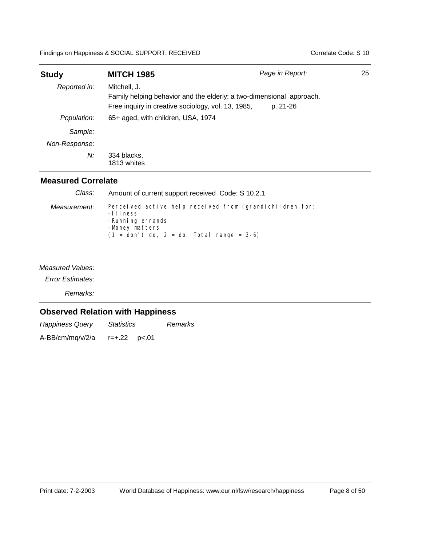| <b>Study</b>  | <b>MITCH 1985</b>                                                                                                                          | Page in Report: | 25 |
|---------------|--------------------------------------------------------------------------------------------------------------------------------------------|-----------------|----|
| Reported in:  | Mitchell, J.<br>Family helping behavior and the elderly: a two-dimensional approach.<br>Free inquiry in creative sociology, vol. 13, 1985, | p. 21-26        |    |
| Population:   | 65+ aged, with children, USA, 1974                                                                                                         |                 |    |
| Sample:       |                                                                                                                                            |                 |    |
| Non-Response: |                                                                                                                                            |                 |    |
| N:            | 334 blacks,<br>1813 whites                                                                                                                 |                 |    |

## **Measured Correlate**

| Class:       | Amount of current support received Code: S 10.2.1                                                                                                             |
|--------------|---------------------------------------------------------------------------------------------------------------------------------------------------------------|
| Measurement: | Perceived active help received from (grand) children for:<br>$-111$ ness<br>-Running errands<br>-Money matters<br>$(1 = don't do, 2 = do. Total range = 3-6)$ |

*Measured Values:*

*Error Estimates:*

*Remarks:*

## **Observed Relation with Happiness**

*Happiness Query Statistics Remarks* A-BB/cm/mq/v/2/a r=+.22 p<.01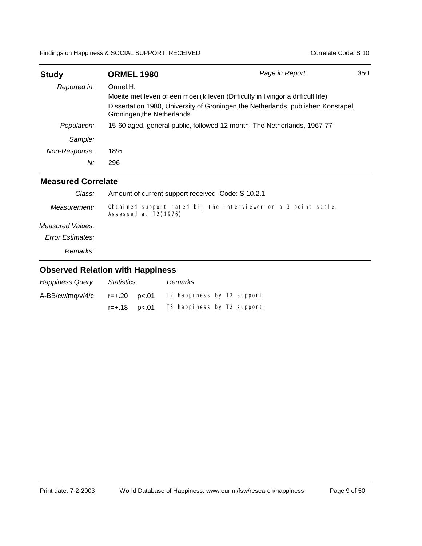| <b>Study</b>  | <b>ORMEL 1980</b>                                                                                                 | Page in Report: | 350 |
|---------------|-------------------------------------------------------------------------------------------------------------------|-----------------|-----|
| Reported in:  | Ormel, H.                                                                                                         |                 |     |
|               | Moeite met leven of een moeilijk leven (Difficulty in livingor a difficult life)                                  |                 |     |
|               | Dissertation 1980, University of Groningen, the Netherlands, publisher: Konstapel,<br>Groningen, the Netherlands. |                 |     |
| Population:   | 15-60 aged, general public, followed 12 month, The Netherlands, 1967-77                                           |                 |     |
| Sample:       |                                                                                                                   |                 |     |
| Non-Response: | 18%                                                                                                               |                 |     |
| N:            | 296                                                                                                               |                 |     |

#### **Measured Correlate**

| Class:           | Amount of current support received Code: S 10.2.1                                      |
|------------------|----------------------------------------------------------------------------------------|
| Measurement:     | Obtained support rated bij the interviewer on a 3 point scale.<br>Assessed at T2(1976) |
| Measured Values: |                                                                                        |
| Error Estimates: |                                                                                        |
| Remarks:         |                                                                                        |

| <b>Happiness Query</b> | <b>Statistics</b>    | Remarks                     |  |
|------------------------|----------------------|-----------------------------|--|
| $A-BB/cw/mq/v/4/c$     |                      | T2 happiness by T2 support. |  |
|                        | $r = +.18$ $p < .01$ | T3 happiness by T2 support. |  |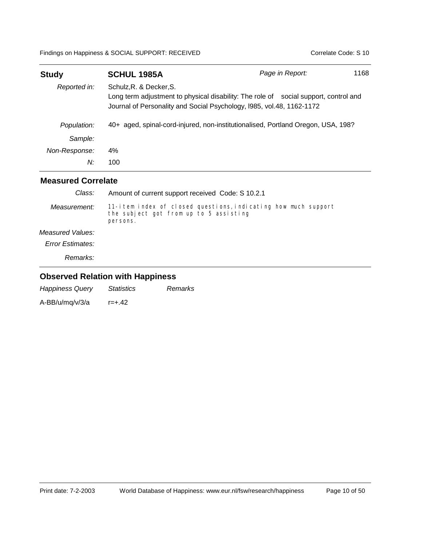| <b>Study</b>  | <b>SCHUL 1985A</b>                                                                                                                                                                       | Page in Report: | 1168 |
|---------------|------------------------------------------------------------------------------------------------------------------------------------------------------------------------------------------|-----------------|------|
| Reported in:  | Schulz, R. & Decker, S.<br>Long term adjustment to physical disability: The role of social support, control and<br>Journal of Personality and Social Psychology, I985, vol.48, 1162-1172 |                 |      |
| Population:   | 40+ aged, spinal-cord-injured, non-institutionalised, Portland Oregon, USA, 198?                                                                                                         |                 |      |
| Sample:       |                                                                                                                                                                                          |                 |      |
| Non-Response: | 4%                                                                                                                                                                                       |                 |      |
| N:            | 100                                                                                                                                                                                      |                 |      |

| Class:           | Amount of current support received Code: S 10.2.1                                                                    |
|------------------|----------------------------------------------------------------------------------------------------------------------|
| Measurement:     | 11-item index of closed questions, indicating how much support<br>the subject got from up to 5 assisting<br>persons. |
| Measured Values: |                                                                                                                      |
| Error Estimates: |                                                                                                                      |
| <i>Remarks:</i>  |                                                                                                                      |

| <b>Happiness Query</b> | <i>Statistics</i> | Remarks |
|------------------------|-------------------|---------|
| A-BB/u/mq/v/3/a        | $r = +.42$        |         |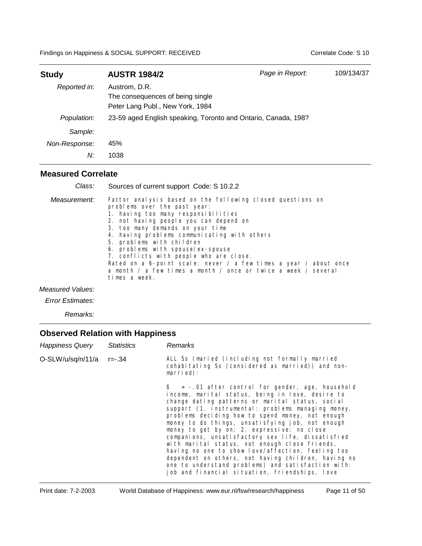| <b>Study</b>  | <b>AUSTR 1984/2</b>                                                                   | Page in Report: | 109/134/37 |
|---------------|---------------------------------------------------------------------------------------|-----------------|------------|
| Reported in:  | Austrom, D.R.<br>The consequences of being single<br>Peter Lang Publ., New York, 1984 |                 |            |
| Population:   | 23-59 aged English speaking, Toronto and Ontario, Canada, 198?                        |                 |            |
| Sample:       |                                                                                       |                 |            |
| Non-Response: | 45%                                                                                   |                 |            |
| N:            | 1038                                                                                  |                 |            |

#### **Measured Correlate**

| Class:       | Sources of current support Code: S 10.2.2                                                                                                                                                                                                                                                                                                                                                                                                                                                                                            |
|--------------|--------------------------------------------------------------------------------------------------------------------------------------------------------------------------------------------------------------------------------------------------------------------------------------------------------------------------------------------------------------------------------------------------------------------------------------------------------------------------------------------------------------------------------------|
| Measurement: | Factor analysis based on the following closed questions on<br>problems over the past year:<br>1. having too many responsibilities<br>2. not having people you can depend on<br>3. too many demands on your time<br>4. having problems communicating with others<br>5. problems with children<br>6. problems with spouse/ex-spouse<br>7. conflicts with people who are close.<br>Rated on a 6-point scale: never / a few times a year / about once<br>a month / a few times a month / once or twice a week / several<br>times a week. |

*Measured Values:*

*Error Estimates:*

*Remarks:*

| <b>Happiness Query</b> | <b>Statistics</b> | Remarks                                                                                                                                                                                                                                                                                                                                                                                                                                                                                                                                                                                                                                                                                                 |
|------------------------|-------------------|---------------------------------------------------------------------------------------------------------------------------------------------------------------------------------------------------------------------------------------------------------------------------------------------------------------------------------------------------------------------------------------------------------------------------------------------------------------------------------------------------------------------------------------------------------------------------------------------------------------------------------------------------------------------------------------------------------|
| O-SLW/u/sq/n/11/a      | r=-.34            | ALL Ss (maried (including not formally married<br>cohabitating Ss (considered as married)) and non-<br>$married)$ :                                                                                                                                                                                                                                                                                                                                                                                                                                                                                                                                                                                     |
|                        |                   | $\beta$ = -.01 after control for gender, age, household<br>income, marital status, being in love, desire to<br>change dating patterns or marital status, social<br>support (1. instrumental: problems managing money,<br>problems deciding how to spend money, not enough<br>money to do things, unsatisfying job, not enough<br>money to get by on; 2. expressive: no close<br>companions, unsatisfactory sex life, dissatisfied<br>with marital status, not enough close friends,<br>having no one to show love/affection, feeling too<br>dependent on others, not having children, having no<br>one to understand problems) and satisfaction with:<br>job and financial situation, friendships, love |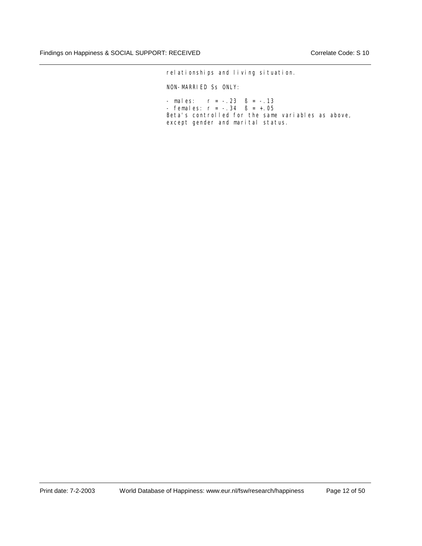relationships and living situation.

NON-MARRIED Ss ONLY:

 $-$  males:  $r = -.23$   $B = -.13$ - females:  $r = -.34$   $B = +.05$ Beta's controlled for the same variables as above, except gender and marital status.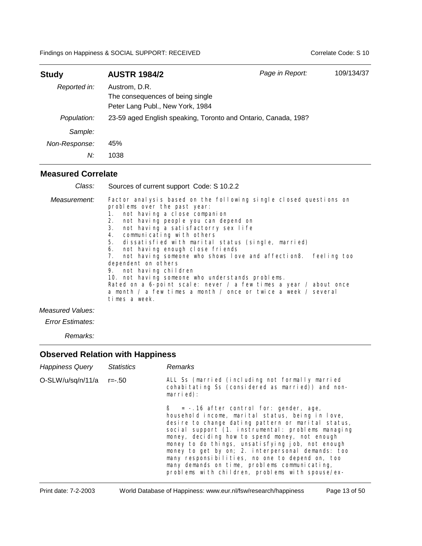| <b>Study</b>  | <b>AUSTR 1984/2</b>                                                                   | Page in Report: | 109/134/37 |
|---------------|---------------------------------------------------------------------------------------|-----------------|------------|
| Reported in:  | Austrom, D.R.<br>The consequences of being single<br>Peter Lang Publ., New York, 1984 |                 |            |
| Population:   | 23-59 aged English speaking, Toronto and Ontario, Canada, 198?                        |                 |            |
| Sample:       |                                                                                       |                 |            |
| Non-Response: | 45%                                                                                   |                 |            |
| N:            | 1038                                                                                  |                 |            |

#### **Measured Correlate**

| Class:       | Sources of current support Code: S 10.2.2                                                                                                                                                                                                                                                                                                                                                                                                                                                                                                                                                                                                                                                               |
|--------------|---------------------------------------------------------------------------------------------------------------------------------------------------------------------------------------------------------------------------------------------------------------------------------------------------------------------------------------------------------------------------------------------------------------------------------------------------------------------------------------------------------------------------------------------------------------------------------------------------------------------------------------------------------------------------------------------------------|
| Measurement: | Factor analysis based on the following single closed questions on<br>problems over the past year:<br>1. not having a close companion<br>not having people you can depend on<br>2.<br>not having a satisfactorry sex life<br>3.<br>communicating with others<br>4.<br>dissatisfied with marital status (single, married)<br>5.<br>not having enough close friends<br>6.<br>not having someone who shows love and affection8.<br>feeling too<br>dependent on others<br>9. not having children<br>10. not having someone who understands problems.<br>Rated on a 6-point scale: never / a few times a year / about once<br>a month / a few times a month / once or twice a week / several<br>times a week. |
|              |                                                                                                                                                                                                                                                                                                                                                                                                                                                                                                                                                                                                                                                                                                         |

*Measured Values:*

*Error Estimates:*

*Remarks:*

| <b>Happiness Query</b> | <b>Statistics</b> | <b>Remarks</b>                                                                                                                                                                                                                                                                                                                                                                                                                                                                                                                     |
|------------------------|-------------------|------------------------------------------------------------------------------------------------------------------------------------------------------------------------------------------------------------------------------------------------------------------------------------------------------------------------------------------------------------------------------------------------------------------------------------------------------------------------------------------------------------------------------------|
| O-SLW/u/sq/n/11/a      | r=-.50            | ALL Ss (married (including not formally married<br>cohabitating Ss (considered as married)) and non-<br>$marri$ ed):                                                                                                                                                                                                                                                                                                                                                                                                               |
|                        |                   | $\beta = -0.16$ after control for: gender, age,<br>household income, marital status, being in love,<br>desire to change dating pattern or marital status,<br>social support (1. instrumental: problems managing<br>money, deciding how to spend money, not enough<br>money to do things, unsatisfying job, not enough<br>money to get by on; 2. interpersonal demands: too<br>many responsibilities, no one to depend on, too<br>many demands on time, problems communicating,<br>problems with children, problems with spouse/ex- |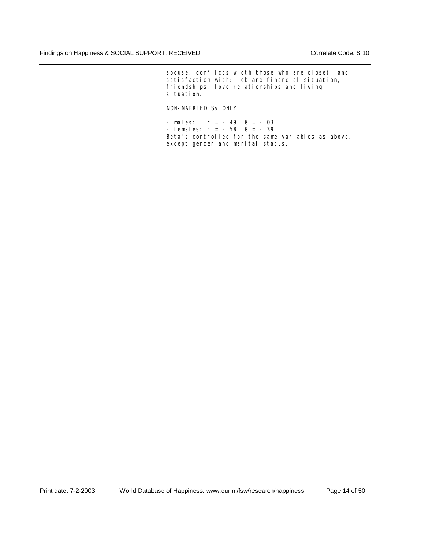spouse, conflicts wioth those who are close), and satisfaction with: job and financial situation, friendships, love relationships and living si tuati on.

NON-MARRIED Ss ONLY:

- males:  $r = -.49$   $\beta = -.03$ - females:  $r = -.58$   $B = -.39$ Beta's controlled for the same variables as above, except gender and marital status.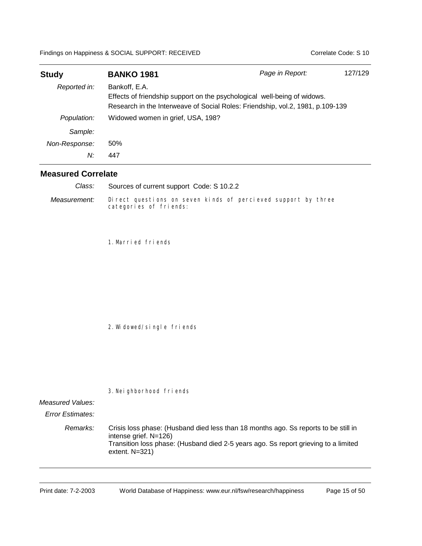| <b>Study</b>  | <b>BANKO 1981</b>                                                                                                                                                           | Page in Report: | 127/129 |
|---------------|-----------------------------------------------------------------------------------------------------------------------------------------------------------------------------|-----------------|---------|
| Reported in:  | Bankoff, E.A.<br>Effects of friendship support on the psychological well-being of widows.<br>Research in the Interweave of Social Roles: Friendship, vol.2, 1981, p.109-139 |                 |         |
| Population:   | Widowed women in grief, USA, 198?                                                                                                                                           |                 |         |
| Sample:       |                                                                                                                                                                             |                 |         |
| Non-Response: | 50%                                                                                                                                                                         |                 |         |
| N:            | 447                                                                                                                                                                         |                 |         |

Direct questions on seven kinds of percieved support by three categories of friends: *Measurement:* Sources of current support Code: S 10.2.2 *Class:*

1.Married friends

2.Widowed/single friends

3.Neighborhood friends

#### *Measured Values:*

*Error Estimates:*

*Remarks:* Crisis loss phase: (Husband died less than 18 months ago. Ss reports to be still in intense grief. N=126) Transition loss phase: (Husband died 2-5 years ago. Ss report grieving to a limited extent. N=321)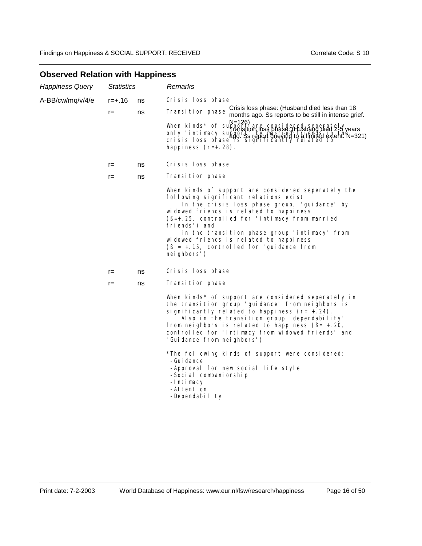| <b>Happiness Query</b> | <b>Statistics</b> |    | Remarks                                                                                                                                                                                                                                                                                                                                                                                                               |
|------------------------|-------------------|----|-----------------------------------------------------------------------------------------------------------------------------------------------------------------------------------------------------------------------------------------------------------------------------------------------------------------------------------------------------------------------------------------------------------------------|
| A-BB/cw/mq/v/4/e       | r=+.16            | ns | Crisis loss phase                                                                                                                                                                                                                                                                                                                                                                                                     |
|                        | $r =$             | ns | Crisis loss phase: (Husband died less than 18<br>Transition phase<br>months ago. Ss reports to be still in intense grief.                                                                                                                                                                                                                                                                                             |
|                        |                   |    | N=126)<br>When kinds* of support are considered seperately<br>Rangstion loss phase: Husband died 2-9 years<br>only 'intimacy substitutives, prince it upspanding the 2-4 years<br>crisis I oss phase 48 septing the whole alimited extent. N=321)<br>happiness $(r=+.28)$ .                                                                                                                                           |
|                        | r=                | ns | Crisis loss phase                                                                                                                                                                                                                                                                                                                                                                                                     |
|                        | $r =$             | ns | Transition phase                                                                                                                                                                                                                                                                                                                                                                                                      |
|                        |                   |    | When kinds of support are considered seperately the<br>following significant relations exist:<br>In the crisis loss phase group, 'guidance' by<br>widowed friends is related to happiness<br>(B=+.25, controlled for 'intimacy from married<br>friends') and<br>in the transition phase group 'intimacy' from<br>widowed friends is related to happiness<br>$(B = +.15,$ controlled for 'quidance from<br>neighbors') |
|                        | $r =$             | ns | Crisis loss phase                                                                                                                                                                                                                                                                                                                                                                                                     |
|                        | $r =$             | ns | Transition phase                                                                                                                                                                                                                                                                                                                                                                                                      |
|                        |                   |    | When kinds* of support are considered seperately in<br>the transition group 'guidance' from neighbors is<br>significantly related to happiness $(r= + . 24)$ .<br>Also in the transition group 'dependability'<br>from neighbors is related to happiness $(\beta = + 0.20,$<br>controlled for 'Intimacy from widowed friends' and<br>'Guidance from neighbors')                                                       |
|                        |                   |    | *The following kinds of support were considered:<br>-Gui dance<br>-Approval for new social life style<br>-Social companionship<br>-Intimacy<br>-Attention<br>-Dependability                                                                                                                                                                                                                                           |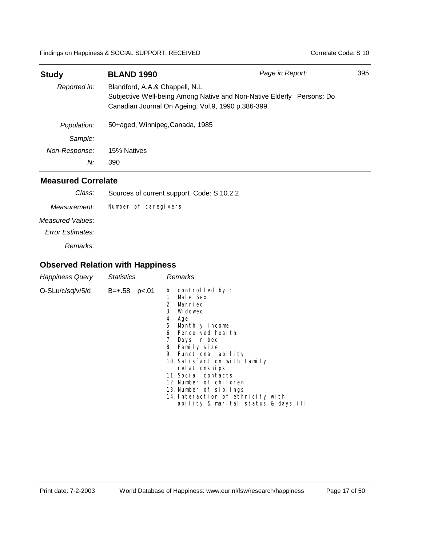| <b>Study</b>  | <b>BLAND 1990</b>                                                                     | Page in Report:                                                       | 395 |
|---------------|---------------------------------------------------------------------------------------|-----------------------------------------------------------------------|-----|
| Reported in:  | Blandford, A.A.& Chappell, N.L.<br>Canadian Journal On Ageing, Vol.9, 1990 p.386-399. | Subjective Well-being Among Native and Non-Native Elderly Persons: Do |     |
| Population:   | 50+aged, Winnipeg, Canada, 1985                                                       |                                                                       |     |
| Sample:       |                                                                                       |                                                                       |     |
| Non-Response: | 15% Natives                                                                           |                                                                       |     |
| N:            | 390                                                                                   |                                                                       |     |

## **Measured Correlate**

| Class:                  | Sources of current support Code: S 10.2.2 |
|-------------------------|-------------------------------------------|
| Measurement:            | Number of caregivers                      |
| Measured Values:        |                                           |
| <b>Error Estimates:</b> |                                           |
| Remarks:                |                                           |
|                         |                                           |

| Happiness Query  | <b>Statistics</b>    | Remarks                                                                                                                                                                                                                                                                                                                                                                                     |
|------------------|----------------------|---------------------------------------------------------------------------------------------------------------------------------------------------------------------------------------------------------------------------------------------------------------------------------------------------------------------------------------------------------------------------------------------|
| O-SLu/c/sq/v/5/d | $B = +.58$ $p < .01$ | b controlled by :<br>1. Male Sex<br>2. Married<br>3. Widowed<br>4. Age<br>5. Monthly income<br>6. Percei ved heal th<br>7. Days in bed<br>8. Family size<br>9. Functional ability<br>10. Satisfaction with family<br>rel ati onshi ps<br>11. Social contacts<br>12.Number of children<br>13. Number of siblings<br>14. Interaction of ethnicity with<br>ability & marital status & days ill |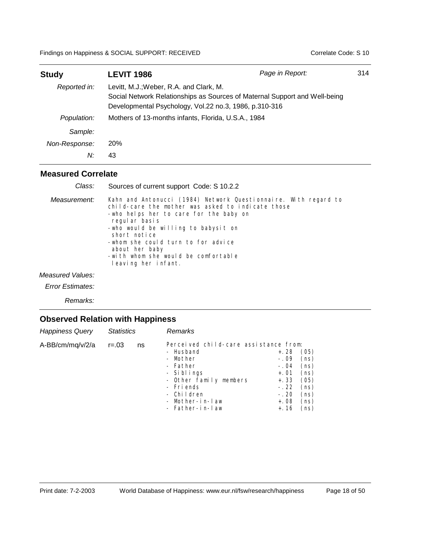| <b>Study</b>  | <b>LEVIT 1986</b>                                                                                                                                                               | Page in Report: | 314 |
|---------------|---------------------------------------------------------------------------------------------------------------------------------------------------------------------------------|-----------------|-----|
| Reported in:  | Levitt, M.J.; Weber, R.A. and Clark, M.<br>Social Network Relationships as Sources of Maternal Support and Well-being<br>Developmental Psychology, Vol.22 no.3, 1986, p.310-316 |                 |     |
| Population:   | Mothers of 13-months infants, Florida, U.S.A., 1984                                                                                                                             |                 |     |
| Sample:       |                                                                                                                                                                                 |                 |     |
| Non-Response: | 20%                                                                                                                                                                             |                 |     |
| N:            | 43                                                                                                                                                                              |                 |     |

Kahn and Antonucci (1984) Network Questionnaire. With regard to child-care the mother was asked to indicate those -who helps her to care for the baby on regular basis -who would be willing to babysit on short notice -whom she could turn to for advice about her baby -with whom she would be comfortable leaving her infant. *Measurement:* Sources of current support Code: S 10.2.2 *Class:*

*Measured Values:*

*Error Estimates:*

*Remarks:*

| Perceived child-care assistance from:<br>A-BB/cm/mg/v/2/a<br>$r = 0.03$<br>ns<br>- Husband<br>+. 28<br>- Mother<br>$-.09$<br>- Father<br>$-.04$<br>- Siblings<br>+. 01<br>- Other family members<br>$+.33$ | <b>Happiness Query</b> | <b>Statistics</b> | Remarks   |        |                                                                      |
|------------------------------------------------------------------------------------------------------------------------------------------------------------------------------------------------------------|------------------------|-------------------|-----------|--------|----------------------------------------------------------------------|
| - Children<br>$-.20$<br>- Mother-in-law<br>$+.08$<br>- Father-in-law<br>+. 16                                                                                                                              |                        |                   | - Friends | $-.22$ | (05)<br>(ns)<br>(ns)<br>(ns)<br>(05)<br>(ns)<br>(ns)<br>(ns)<br>(ns) |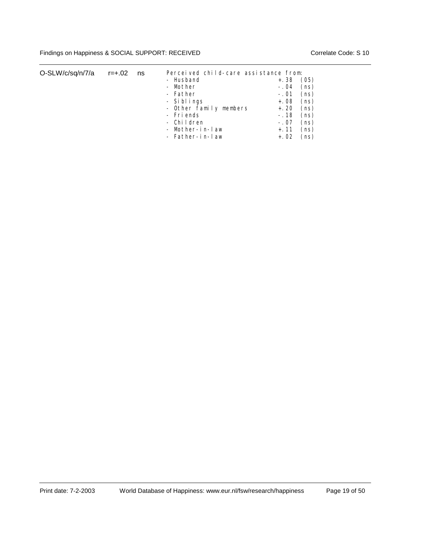| O-SLW/c/sq/n/7/a | r=+.02 | ns | Perceived child-care assistance from: |        |      |
|------------------|--------|----|---------------------------------------|--------|------|
|                  |        |    | - Husband                             | $+.38$ | (05) |
|                  |        |    | - Mother                              | $-.04$ | (ns) |
|                  |        |    | - Father                              | $-.01$ | (ns) |
|                  |        |    | - Siblings                            | $+.08$ | (ns) |
|                  |        |    | - Other family members                | +. 20  | (ns) |
|                  |        |    | - Friends                             | -. 18  | (ns) |
|                  |        |    | - Children                            | $-.07$ | (ns) |
|                  |        |    | - Mother-in-law                       | $+.11$ | (ns) |
|                  |        |    | - Father-in-law                       | +. 02  | (ns) |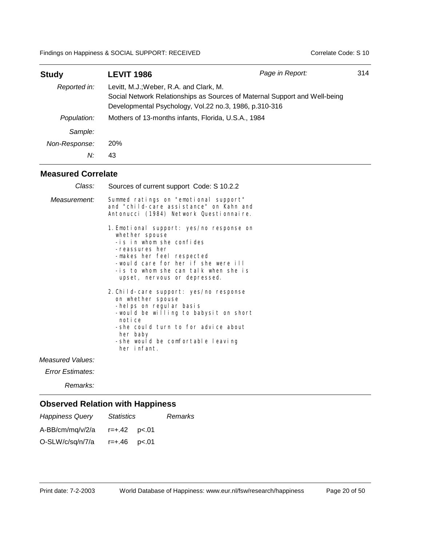| <b>Study</b>  | LEVIT 1986                                                                                                                                                                      | Page in Report: | 314 |
|---------------|---------------------------------------------------------------------------------------------------------------------------------------------------------------------------------|-----------------|-----|
| Reported in:  | Levitt, M.J.; Weber, R.A. and Clark, M.<br>Social Network Relationships as Sources of Maternal Support and Well-being<br>Developmental Psychology, Vol.22 no.3, 1986, p.310-316 |                 |     |
| Population:   | Mothers of 13-months infants, Florida, U.S.A., 1984                                                                                                                             |                 |     |
| Sample:       |                                                                                                                                                                                 |                 |     |
| Non-Response: | 20%                                                                                                                                                                             |                 |     |
| N:            | 43                                                                                                                                                                              |                 |     |

| Class:           | Sources of current support Code: S 10.2.2                                                                                                                                                                                                            |
|------------------|------------------------------------------------------------------------------------------------------------------------------------------------------------------------------------------------------------------------------------------------------|
| Measurement:     | Summed ratings on "emotional support"<br>and "child-care assistance" on Kahn and<br>Antonucci (1984) Network Questionnaire.                                                                                                                          |
|                  | 1. Emotional support: yes/no response on<br>whether spouse<br>-is in whom she confides<br>-reassures her<br>-makes her feel respected<br>-would care for her if she were ill<br>-is to whom she can talk when she is<br>upset, nervous or depressed. |
|                  | 2. Child-care support: yes/no response<br>on whether spouse<br>-helps on regular basis<br>-would be willing to babysit on short<br>notice<br>-she could turn to for advice about<br>her baby<br>-she would be comfortable leaving<br>her infant.     |
| Measured Values: |                                                                                                                                                                                                                                                      |
| Frror Estimates: |                                                                                                                                                                                                                                                      |

*Error Estimates:*

*Remarks:*

| <b>Happiness Query</b> | <i>Statistics</i> | Remarks |
|------------------------|-------------------|---------|
| A-BB/cm/mg/v/2/a       |                   |         |
| O-SLW/c/sq/n/7/a       | r=+.46 p<.01      |         |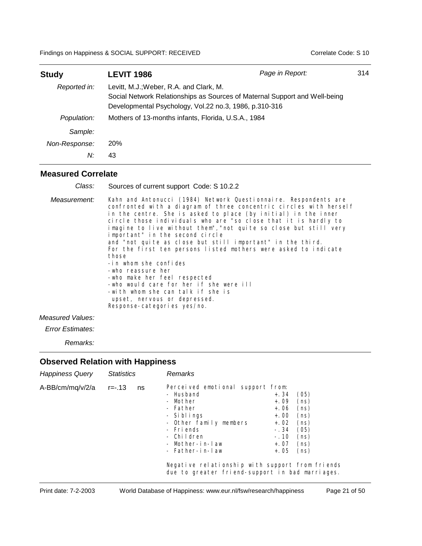| <b>Study</b>  | LEVIT 1986                                                                                                                                                                      | Page in Report: | 314 |
|---------------|---------------------------------------------------------------------------------------------------------------------------------------------------------------------------------|-----------------|-----|
| Reported in:  | Levitt, M.J.; Weber, R.A. and Clark, M.<br>Social Network Relationships as Sources of Maternal Support and Well-being<br>Developmental Psychology, Vol.22 no.3, 1986, p.310-316 |                 |     |
| Population:   | Mothers of 13-months infants, Florida, U.S.A., 1984                                                                                                                             |                 |     |
| Sample:       |                                                                                                                                                                                 |                 |     |
| Non-Response: | 20%                                                                                                                                                                             |                 |     |
| N:            | 43                                                                                                                                                                              |                 |     |

| Class:       | Sources of current support Code: S 10.2.2                                                                                                                                                                                                                                                                                                                                                                                                                                                                                                                                                                                                                                                                                                                  |
|--------------|------------------------------------------------------------------------------------------------------------------------------------------------------------------------------------------------------------------------------------------------------------------------------------------------------------------------------------------------------------------------------------------------------------------------------------------------------------------------------------------------------------------------------------------------------------------------------------------------------------------------------------------------------------------------------------------------------------------------------------------------------------|
| Measurement: | Kahn and Antonucci (1984) Network Questionnaire. Respondents are<br>confronted with a diagram of three concentric circles with herself<br>in the centre. She is asked to place (by initial) in the inner<br>circle those individuals who are "so close that it is hardly to<br>imagine to live without them", "not quite so close but still very<br>important" in the second circle<br>and "not quite as close but still important" in the third.<br>For the first ten persons listed mothers were asked to indicate<br>those<br>-in whom she confides<br>-who reassure her<br>-who make her feel respected<br>-who would care for her if she were ill<br>-with whom she can talk if she is<br>upset, nervous or depressed.<br>Response-categories yes/no. |

#### *Measured Values:*

*Error Estimates:*

*Remarks:*

| <b>Happiness Query</b> | <b>Statistics</b> |    | Remarks                                                                                                                                                                                                                                                                               |                                                                                      |                                                                      |  |
|------------------------|-------------------|----|---------------------------------------------------------------------------------------------------------------------------------------------------------------------------------------------------------------------------------------------------------------------------------------|--------------------------------------------------------------------------------------|----------------------------------------------------------------------|--|
| A-BB/cm/mq/v/2/a       | r=-.13            | ns | Perceived emotional support from:<br>- Husband<br>- Mother<br>- Father<br>- Siblings<br>- Other family members<br>- Friends<br>- Children<br>- Mother-in-law<br>- Father-in-law<br>Negative relationship with support from friends<br>due to greater friend-support in bad marriages. | +. 34<br>$+.09$<br>$+.06$<br>$+.00$<br>$+.02$<br>$-.34$<br>$-.10$<br>+. 07<br>$+.05$ | (05)<br>(ns)<br>(ns)<br>(ns)<br>(ns)<br>(05)<br>(ns)<br>(ns)<br>(ns) |  |
|                        |                   |    |                                                                                                                                                                                                                                                                                       |                                                                                      |                                                                      |  |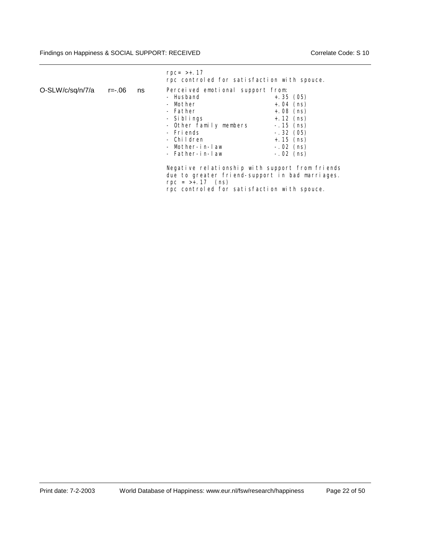|                  |        |    | $rpc = >+.17$<br>rpc controled for satisfaction with spouce.                                                                                                                                          |                                                                                                                                                                                                                                             |
|------------------|--------|----|-------------------------------------------------------------------------------------------------------------------------------------------------------------------------------------------------------|---------------------------------------------------------------------------------------------------------------------------------------------------------------------------------------------------------------------------------------------|
| O-SLW/c/sq/n/7/a | r=-.06 | ns | Perceived emotional support from:<br>- Husband<br>- Mother<br>- Father<br>- Siblings<br>- Other family members<br>- Friends<br>- Children<br>- Mother-in-law<br>- Father-in-law<br>$rpc = >+.17$ (ns) | $+.35(05)$<br>$+.04$ (ns)<br>$+.08$ (ns)<br>$+$ . 12 (ns)<br>$-.15$ (ns)<br>$-.32(05)$<br>$+ . 15$ (ns)<br>$-.02$ (ns)<br>$-.02$ (ns)<br>Negative relationship with support from friends<br>due to greater friend-support in bad marriages. |

rpc controled for satisfaction with spouce.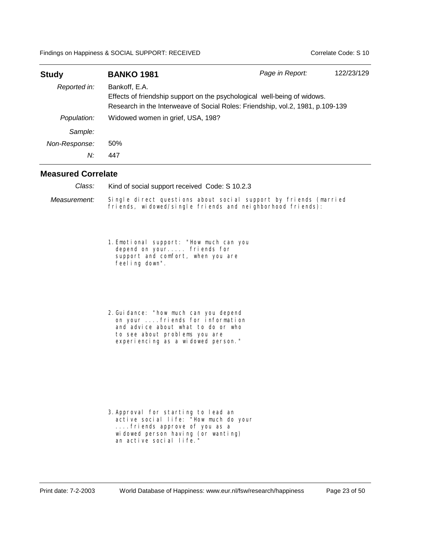| <b>Study</b>  | <b>BANKO 1981</b>                                                                                                                                                           | Page in Report: | 122/23/129 |
|---------------|-----------------------------------------------------------------------------------------------------------------------------------------------------------------------------|-----------------|------------|
| Reported in:  | Bankoff, E.A.<br>Effects of friendship support on the psychological well-being of widows.<br>Research in the Interweave of Social Roles: Friendship, vol.2, 1981, p.109-139 |                 |            |
| Population:   | Widowed women in grief, USA, 198?                                                                                                                                           |                 |            |
| Sample:       |                                                                                                                                                                             |                 |            |
| Non-Response: | 50%                                                                                                                                                                         |                 |            |
| N:            | 447                                                                                                                                                                         |                 |            |

Kind of social support received Code: S 10.2.3 *Class:*

Single direct questions about social support by friends (married friends, widowed/single friends and neighborhood friends): *Measurement:*

- 1.Emotional support: "How much can you depend on your..... friends for support and comfort, when you are feeling down".
- 2.Guidance: "how much can you depend on your ....friends for information and advice about what to do or who to see about problems you are experiencing as a widowed person."

3.Approval for starting to lead an active social life: "How much do your ....friends approve of you as a widowed person having (or wanting) an active social life."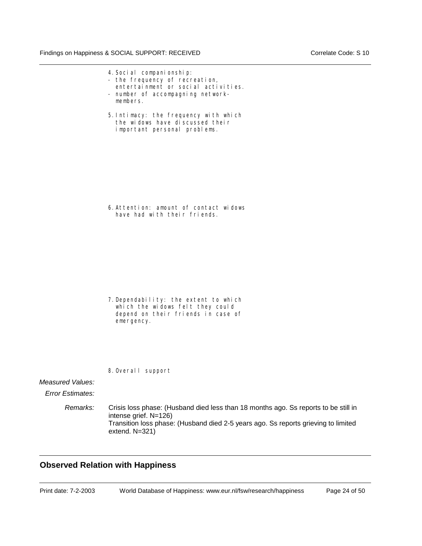- 4.Social companionship:
- the frequency of recreation, entertainment or social activities.
- number of accompagning networkmembers.
- 5.Intimacy: the frequency with which the widows have discussed their important personal problems.

6.Attention: amount of contact widows have had with their friends.

- 7.Dependability: the extent to which which the widows felt they could depend on their friends in case of emergency.
- 8.Overall support

#### *Measured Values:*

*Error Estimates:*

*Remarks:* Crisis loss phase: (Husband died less than 18 months ago. Ss reports to be still in intense grief. N=126) Transition loss phase: (Husband died 2-5 years ago. Ss reports grieving to limited extend. N=321)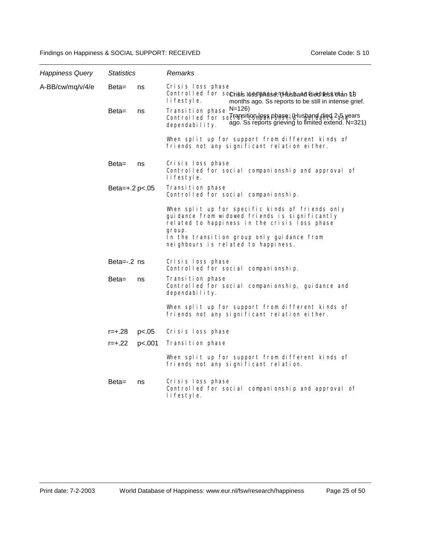| <b>Happiness Query</b> | <b>Statistics</b> |        | Remarks                                                                                                                                                                                                                                            |
|------------------------|-------------------|--------|----------------------------------------------------------------------------------------------------------------------------------------------------------------------------------------------------------------------------------------------------|
| A-BB/cw/mq/v/4/e       | Beta=             | ns     | Crisis loss phase<br>Controlled for sochisitiossiphesien(Blotspanddiedpless when of<br>lifestyle.<br>months ago. Ss reports to be still in intense grief.                                                                                          |
|                        | Beta=             | ns     | Transition phase $\frac{N}{2}$ =126)<br>Controlled for sociaansition less phase; (Husband died 2 5 Nears<br>ago. Ss reports grieving to limited extend. N=321)<br>dependability.                                                                   |
|                        |                   |        | When split up for support from different kinds of<br>friends not any significant relation either.                                                                                                                                                  |
|                        | Beta=             | ns     | Crisis loss phase<br>Controlled for social companionship and approval of<br>lifestyle.                                                                                                                                                             |
|                        | Beta= $+.2 p<.05$ |        | Transition phase<br>Controlled for social companionship.                                                                                                                                                                                           |
|                        |                   |        | When split up for specific kinds of friends only<br>guidance from widowed friends is significantly<br>related to happiness in the crisis loss phase<br>group.<br>In the transition group only guidance from<br>neighbours is related to happiness. |
|                        | Beta= $-0.2$ ns   |        | Crisis loss phase<br>Controlled for social companionship.                                                                                                                                                                                          |
|                        | Beta=             | ns     | Transition phase<br>Controlled for social companionship, guidance and<br>dependability.                                                                                                                                                            |
|                        |                   |        | When split up for support from different kinds of<br>friends not any significant relation either.                                                                                                                                                  |
|                        | $r = +.28$        | p<.05  | Crisis loss phase                                                                                                                                                                                                                                  |
|                        | $r = +.22$        | p<.001 | Transition phase                                                                                                                                                                                                                                   |
|                        |                   |        | When split up for support from different kinds of<br>friends not any significant relation.                                                                                                                                                         |
|                        | Beta=             | ns     | Crisis loss phase<br>Controlled for social companionship and approval of<br>lifestyle.                                                                                                                                                             |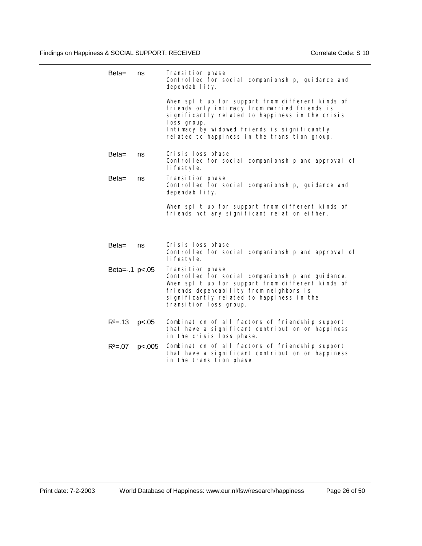| $Beta =$       | ns     | Transition phase<br>Controlled for social companionship, guidance and<br>dependability.                                                                                                                                                                                |
|----------------|--------|------------------------------------------------------------------------------------------------------------------------------------------------------------------------------------------------------------------------------------------------------------------------|
|                |        | When split up for support from different kinds of<br>friends only intimacy from married friends is<br>significantly related to happiness in the crisis<br>loss group.<br>Intimacy by widowed friends is significantly<br>related to happiness in the transition group. |
| Beta=          | ns     | Crisis loss phase<br>Controlled for social companionship and approval of<br>lifestyle.                                                                                                                                                                                 |
| Beta=          | ns     | Transition phase<br>Controlled for social companionship, guidance and<br>dependability.                                                                                                                                                                                |
|                |        | When split up for support from different kinds of<br>friends not any significant relation either.                                                                                                                                                                      |
| Beta=          | ns     | Crisis loss phase<br>Controlled for social companionship and approval of<br>I i festyl e.                                                                                                                                                                              |
| Beta=-.1 p<.05 |        | Transition phase<br>Controlled for social companionship and guidance.<br>When split up for support from different kinds of<br>friends dependability from neighbors is<br>significantly related to happiness in the<br>transition loss group.                           |
| $R^2 = 13$     | p<.05  | Combination of all factors of friendship support<br>that have a significant contribution on happiness<br>in the crisis loss phase.                                                                                                                                     |
| $R^2 = 07$     | p<.005 | Combination of all factors of friendship support<br>that have a significant contribution on happiness<br>in the transition phase.                                                                                                                                      |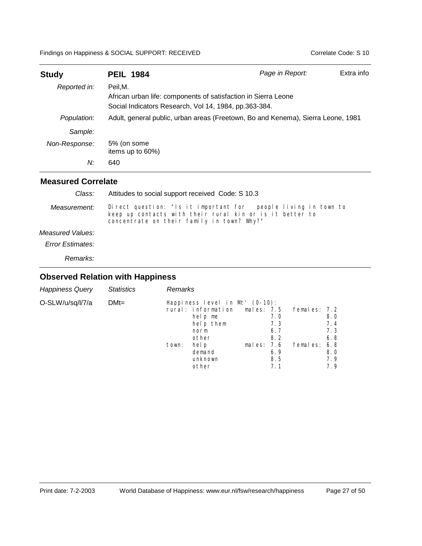| <b>Study</b>  | <b>PEIL 1984</b>                                                                                                                   | Page in Report: | Extra info |
|---------------|------------------------------------------------------------------------------------------------------------------------------------|-----------------|------------|
| Reported in:  | Peil.M.<br>African urban life: components of satisfaction in Sierra Leone<br>Social Indicators Research, Vol 14, 1984, pp.363-384. |                 |            |
| Population:   | Adult, general public, urban areas (Freetown, Bo and Kenema), Sierra Leone, 1981                                                   |                 |            |
| Sample:       |                                                                                                                                    |                 |            |
| Non-Response: | 5% (on some<br>items up to 60%)                                                                                                    |                 |            |
| N:            | 640                                                                                                                                |                 |            |

#### **Measured Correlate**

| Class:                  | Attitudes to social support received Code: S 10.3                                                                                                                        |  |  |
|-------------------------|--------------------------------------------------------------------------------------------------------------------------------------------------------------------------|--|--|
| Measurement:            | Direct question: "Is it important for people living in town to<br>keep up contacts with their rural kin or is it better to<br>concentrate on their family in town? Why?" |  |  |
| Measured Values:        |                                                                                                                                                                          |  |  |
| <b>Error Estimates:</b> |                                                                                                                                                                          |  |  |
| Remarks:                |                                                                                                                                                                          |  |  |

| <b>Happiness Query</b> | <b>Statistics</b> | <b>Remarks</b> |                                                                                                                                      |                              |                                               |                              |                                               |
|------------------------|-------------------|----------------|--------------------------------------------------------------------------------------------------------------------------------------|------------------------------|-----------------------------------------------|------------------------------|-----------------------------------------------|
| O-SLW/u/sq/l/7/a       | $DMt =$           | town:          | Happiness level in Mt' (0-10):<br>rural: information<br>help me<br>help them<br>norm<br>other<br>hel p<br>demand<br>unknown<br>other | males: $7.5$<br>males: $7.6$ | 7.0<br>7.3<br>6.7<br>8.2<br>6.9<br>8.5<br>7.1 | females: 7.2<br>females: 6.8 | 8.0<br>7.4<br>7.3<br>6.8<br>8.0<br>7.9<br>7.9 |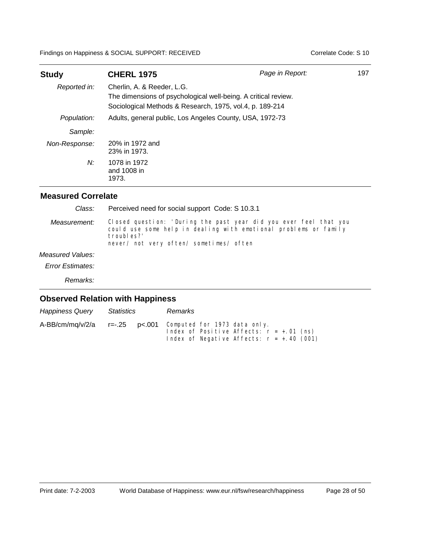| <b>Study</b>  | <b>CHERL 1975</b>                                                                                                                                        | Page in Report: | 197 |
|---------------|----------------------------------------------------------------------------------------------------------------------------------------------------------|-----------------|-----|
| Reported in:  | Cherlin, A. & Reeder, L.G.<br>The dimensions of psychological well-being. A critical review.<br>Sociological Methods & Research, 1975, vol.4, p. 189-214 |                 |     |
| Population:   | Adults, general public, Los Angeles County, USA, 1972-73                                                                                                 |                 |     |
| Sample:       |                                                                                                                                                          |                 |     |
| Non-Response: | 20% in 1972 and<br>23% in 1973.                                                                                                                          |                 |     |
| N:            | 1078 in 1972<br>and 1008 in<br>1973.                                                                                                                     |                 |     |

## **Measured Correlate**

| Class:                  | Perceived need for social support Code: S 10.3.1                                                                                                                                               |  |  |
|-------------------------|------------------------------------------------------------------------------------------------------------------------------------------------------------------------------------------------|--|--|
| Measurement:            | Closed question: 'During the past year did you ever feel that you<br>could use some help in dealing with emotional problems or family<br>troubles?'<br>never/ not very often/ sometimes/ often |  |  |
| Measured Values:        |                                                                                                                                                                                                |  |  |
| <b>Error Estimates:</b> |                                                                                                                                                                                                |  |  |
| Remarks:                |                                                                                                                                                                                                |  |  |

| <b>Happiness Query</b> | Statistics | Remarks                                                                                                                                   |
|------------------------|------------|-------------------------------------------------------------------------------------------------------------------------------------------|
| A-BB/cm/mg/v/2/a       |            | $r=-.25$ p<.001 Computed for 1973 data only.<br>Index of Positive Affects: $r = +.01$ (ns)<br>Index of Negative Affects: $r = +.40$ (001) |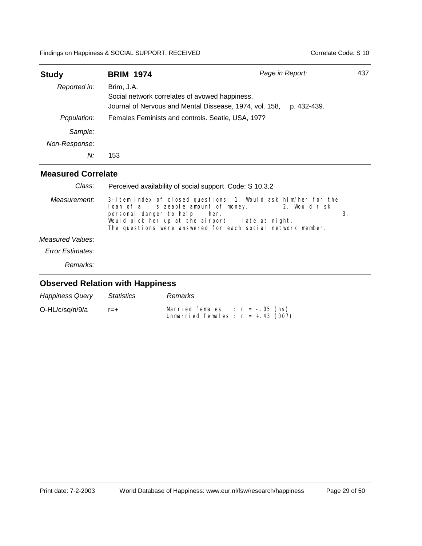| <b>Study</b>  | <b>BRIM 1974</b>                                                                                                        | Page in Report: |             |  |
|---------------|-------------------------------------------------------------------------------------------------------------------------|-----------------|-------------|--|
| Reported in:  | Brim, J.A.<br>Social network correlates of avowed happiness.<br>Journal of Nervous and Mental Dissease, 1974, vol. 158, |                 | p. 432-439. |  |
| Population:   | Females Feminists and controls. Seatle, USA, 197?                                                                       |                 |             |  |
| Sample:       |                                                                                                                         |                 |             |  |
| Non-Response: |                                                                                                                         |                 |             |  |
| N:            | 153                                                                                                                     |                 |             |  |
|               |                                                                                                                         |                 |             |  |

#### 3-item index of closed questions: 1. Would ask him/her for the loan of a sizeable amount of money. 2. Would risk loan of a sizeable amount of money.<br>
personal danger to help her. personal danger to help her. 3. Would pick her up at the airport late at night. The questions were answered for each social network member. **Measured Correlate** *Measurement:* Perceived availability of social support Code: S 10.3.2 *Measured Values: Error Estimates: Class:*

*Remarks:*

| <b>Happiness Query</b> | Statistics | Remarks                               |
|------------------------|------------|---------------------------------------|
| O-HL/c/sq/n/9/a        | $r = +$    | Married females : $r = -.05$ (ns)     |
|                        |            | Unmarried females : $r = +0.43$ (007) |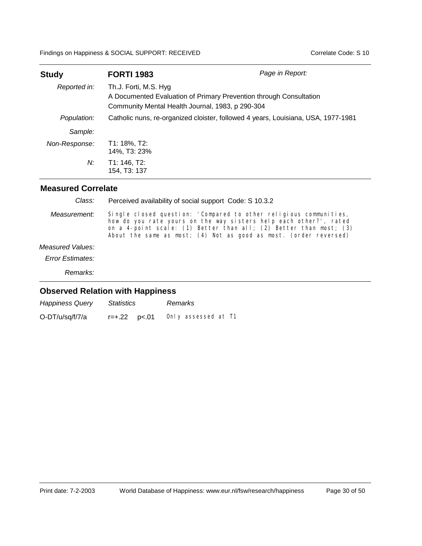| <b>Study</b>  | <b>FORTI 1983</b>                                                         | Page in Report:                                                                   |
|---------------|---------------------------------------------------------------------------|-----------------------------------------------------------------------------------|
| Reported in:  | Th.J. Forti, M.S. Hyg<br>Community Mental Health Journal, 1983, p 290-304 | A Documented Evaluation of Primary Prevention through Consultation                |
| Population:   |                                                                           | Catholic nuns, re-organized cloister, followed 4 years, Louisiana, USA, 1977-1981 |
| Sample:       |                                                                           |                                                                                   |
| Non-Response: | T1: 18%, T2:<br>14%, T3: 23%                                              |                                                                                   |
| N:            | T1: 146, T2:<br>154, T3: 137                                              |                                                                                   |

#### **Measured Correlate**

Single closed question: 'Compared to other religious communities, how do you rate yours on the way sisters help each other?', rated on a 4-point scale: (1) Better than all; (2) Better than most; (3) About the same as most; (4) Not as good as most. (order reversed) *Measurement: Remarks:* Perceived availability of social support Code: S 10.3.2 *Measured Values: Error Estimates: Class:*

| <b>Happiness Query</b> | Statistics | Remarks             |
|------------------------|------------|---------------------|
| O-DT/u/sq/f/7/a        |            | Only assessed at T1 |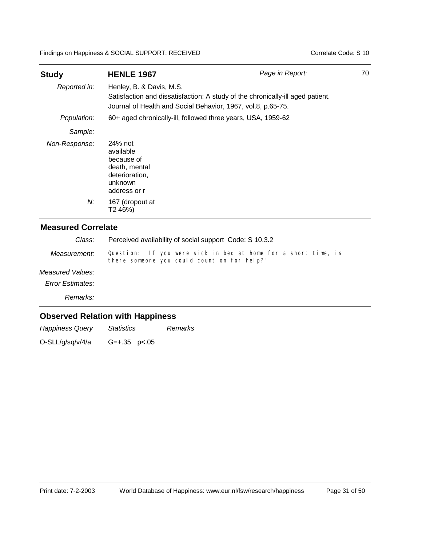| <b>Study</b><br>Reported in: | <b>HENLE 1967</b><br>Henley, B. & Davis, M.S.                                                    | Page in Report:                                                                | 70 |
|------------------------------|--------------------------------------------------------------------------------------------------|--------------------------------------------------------------------------------|----|
|                              | Journal of Health and Social Behavior, 1967, vol.8, p.65-75.                                     | Satisfaction and dissatisfaction: A study of the chronically-ill aged patient. |    |
| Population:                  | 60+ aged chronically-ill, followed three years, USA, 1959-62                                     |                                                                                |    |
| Sample:                      |                                                                                                  |                                                                                |    |
| Non-Response:                | 24% not<br>available<br>because of<br>death, mental<br>deterioration,<br>unknown<br>address or r |                                                                                |    |
| N:                           | 167 (dropout at<br>T2 46%)                                                                       |                                                                                |    |

### **Measured Correlate**

| Class:       | Perceived availability of social support Code: S 10.3.2                                                        |  |  |  |
|--------------|----------------------------------------------------------------------------------------------------------------|--|--|--|
| Measurement: | Question: 'If you were sick in bed at home for a short time, is<br>there someone you could count on for help?' |  |  |  |

#### *Measured Values:*

*Error Estimates:*

*Remarks:*

### **Observed Relation with Happiness**

*Happiness Query Statistics Remarks*

O-SLL/g/sq/v/4/a G=+.35 p<.05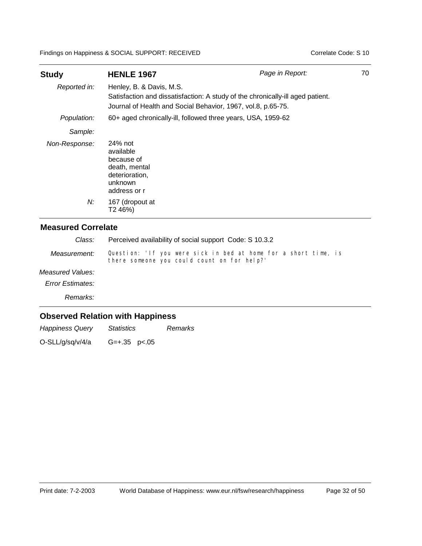| <b>Study</b><br>Reported in: | <b>HENLE 1967</b><br>Henley, B. & Davis, M.S.                                                    | Page in Report:                                                                | 70 |  |  |
|------------------------------|--------------------------------------------------------------------------------------------------|--------------------------------------------------------------------------------|----|--|--|
|                              | Journal of Health and Social Behavior, 1967, vol.8, p.65-75.                                     | Satisfaction and dissatisfaction: A study of the chronically-ill aged patient. |    |  |  |
| Population:                  |                                                                                                  | 60+ aged chronically-ill, followed three years, USA, 1959-62                   |    |  |  |
| Sample:                      |                                                                                                  |                                                                                |    |  |  |
| Non-Response:                | 24% not<br>available<br>because of<br>death, mental<br>deterioration,<br>unknown<br>address or r |                                                                                |    |  |  |
| N:                           | 167 (dropout at<br>T2 46%)                                                                       |                                                                                |    |  |  |

### **Measured Correlate**

| Class:       | Perceived availability of social support Code: S 10.3.2                                                        |  |  |  |
|--------------|----------------------------------------------------------------------------------------------------------------|--|--|--|
| Measurement: | Question: 'If you were sick in bed at home for a short time, is<br>there someone you could count on for help?' |  |  |  |

#### *Measured Values:*

*Error Estimates:*

*Remarks:*

### **Observed Relation with Happiness**

*Happiness Query Statistics Remarks*

O-SLL/g/sq/v/4/a G=+.35 p<.05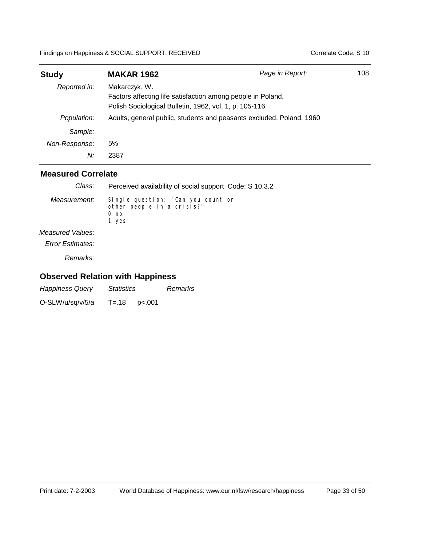| <b>Study</b>  | <b>MAKAR 1962</b>                                                                                                                       | Page in Report: | 108 |
|---------------|-----------------------------------------------------------------------------------------------------------------------------------------|-----------------|-----|
| Reported in:  | Makarczyk, W.<br>Factors affecting life satisfaction among people in Poland.<br>Polish Sociological Bulletin, 1962, vol. 1, p. 105-116. |                 |     |
| Population:   | Adults, general public, students and peasants excluded, Poland, 1960                                                                    |                 |     |
| Sample:       |                                                                                                                                         |                 |     |
| Non-Response: | 5%                                                                                                                                      |                 |     |
| N:            | 2387                                                                                                                                    |                 |     |

| Class:                  | Perceived availability of social support Code: S 10.3.2                                      |
|-------------------------|----------------------------------------------------------------------------------------------|
| Measurement:            | Single question: 'Can you count on<br>other people in a crisis?'<br>0 <sub>no</sub><br>1 yes |
| Measured Values:        |                                                                                              |
| <b>Error Estimates:</b> |                                                                                              |

*Remarks:*

| <b>Happiness Query</b><br><i>Statistics</i> |       |        | Remarks |
|---------------------------------------------|-------|--------|---------|
| O-SLW/u/sq/v/5/a                            | T=.18 | p<.001 |         |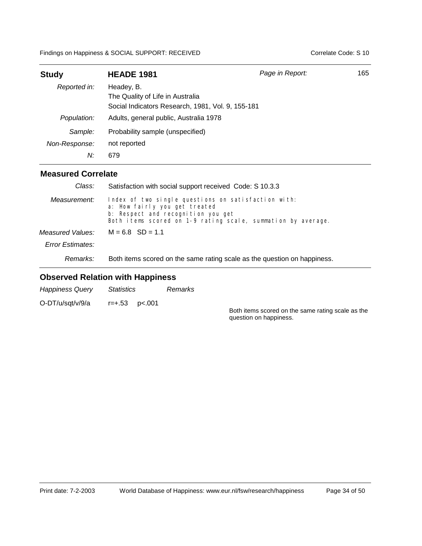| <b>Study</b>  | <b>HEADE 1981</b>                                                                                   | Page in Report: | 165 |
|---------------|-----------------------------------------------------------------------------------------------------|-----------------|-----|
| Reported in:  | Headey, B.<br>The Quality of Life in Australia<br>Social Indicators Research, 1981, Vol. 9, 155-181 |                 |     |
| Population:   | Adults, general public, Australia 1978                                                              |                 |     |
| Sample:       | Probability sample (unspecified)                                                                    |                 |     |
| Non-Response: | not reported                                                                                        |                 |     |
| N:            | 679                                                                                                 |                 |     |

#### **Measured Correlate**

| Class:           | Satisfaction with social support received Code: S 10.3.3                                                                                                                                   |  |  |  |
|------------------|--------------------------------------------------------------------------------------------------------------------------------------------------------------------------------------------|--|--|--|
| Measurement:     | Index of two single questions on satisfaction with:<br>a: How fairly you get treated<br>b: Respect and recognition you get<br>Both items scored on 1-9 rating scale, summation by average. |  |  |  |
| Measured Values: | $M = 6.8$ SD = 1.1                                                                                                                                                                         |  |  |  |
| Error Estimates: |                                                                                                                                                                                            |  |  |  |
| Remarks:         | Both items scored on the same rating scale as the question on happiness.                                                                                                                   |  |  |  |

| <b>Happiness Query</b> | <i>Statistics</i>     | Remarks |                                                                             |
|------------------------|-----------------------|---------|-----------------------------------------------------------------------------|
| O-DT/u/sqt/v/9/a       | $r = +.53$ $p < .001$ |         | Both items scored on the same rating scale as the<br>question on happiness. |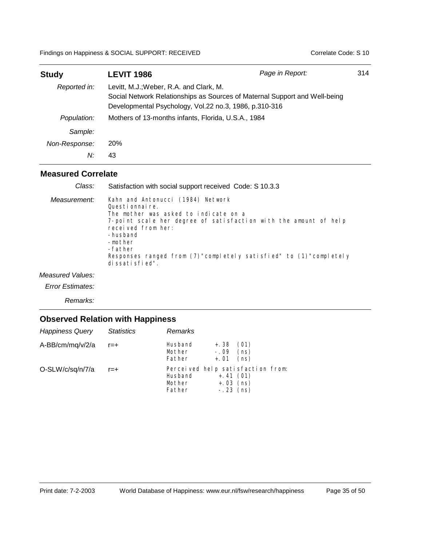| <b>Study</b>  | <b>LEVIT 1986</b>                                                                                                                                                               | Page in Report: | 314 |
|---------------|---------------------------------------------------------------------------------------------------------------------------------------------------------------------------------|-----------------|-----|
| Reported in:  | Levitt, M.J.; Weber, R.A. and Clark, M.<br>Social Network Relationships as Sources of Maternal Support and Well-being<br>Developmental Psychology, Vol.22 no.3, 1986, p.310-316 |                 |     |
| Population:   | Mothers of 13-months infants, Florida, U.S.A., 1984                                                                                                                             |                 |     |
| Sample:       |                                                                                                                                                                                 |                 |     |
| Non-Response: | 20%                                                                                                                                                                             |                 |     |
| N:            | 43                                                                                                                                                                              |                 |     |

#### **Measured Correlate**

| Class:       | Satisfaction with social support received Code: S 10.3.3                                                                                                                                                                                                                                                        |
|--------------|-----------------------------------------------------------------------------------------------------------------------------------------------------------------------------------------------------------------------------------------------------------------------------------------------------------------|
| Measurement: | Kahn and Antonucci (1984) Network<br>Questionnaire.<br>The mother was asked to indicate on a<br>7-point scale her degree of satisfaction with the amount of help<br>received from her:<br>-husband<br>-mother<br>-father<br>Responses ranged from (7)"completely satisfied" to (1)"completely<br>dissatisfied". |

*Measured Values:*

*Error Estimates:*

*Remarks:*

| <b>Happiness Query</b> | <b>Statistics</b> | Remarks                     |                                           |                                   |
|------------------------|-------------------|-----------------------------|-------------------------------------------|-----------------------------------|
| A-BB/cm/mq/v/2/a       | r=+               | Husband<br>Mother<br>Father | $+.38$<br>$-.09$<br>$+.01$                | (01)<br>(ns)<br>(ns)              |
| O-SLW/c/sq/n/7/a       | $r = +$           | Husband<br>Mother<br>Father | $+, 41(01)$<br>$+.03$ (ns)<br>$-.23$ (ns) | Perceived help satisfaction from: |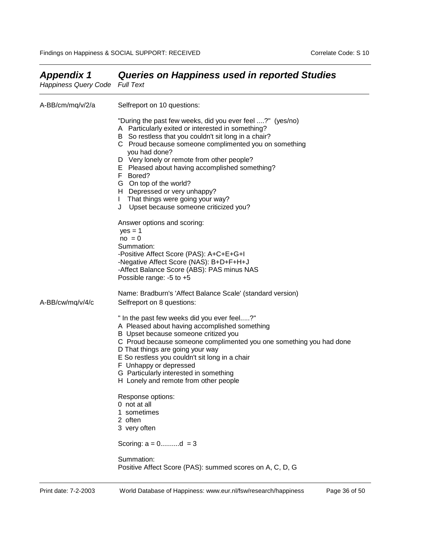| Happiness Query Code Full Text |                                                                                                                                                                                                                                                                                                                                                                                                                                                                                                                                                                                                                                                                                                                                               |
|--------------------------------|-----------------------------------------------------------------------------------------------------------------------------------------------------------------------------------------------------------------------------------------------------------------------------------------------------------------------------------------------------------------------------------------------------------------------------------------------------------------------------------------------------------------------------------------------------------------------------------------------------------------------------------------------------------------------------------------------------------------------------------------------|
| A-BB/cm/mq/v/2/a               | Selfreport on 10 questions:                                                                                                                                                                                                                                                                                                                                                                                                                                                                                                                                                                                                                                                                                                                   |
|                                | "During the past few weeks, did you ever feel ?" (yes/no)<br>A Particularly exited or interested in something?<br>B So restless that you couldn't sit long in a chair?<br>C Proud because someone complimented you on something<br>you had done?<br>D Very lonely or remote from other people?<br>E Pleased about having accomplished something?<br>F Bored?<br>G On top of the world?<br>H Depressed or very unhappy?<br>I That things were going your way?<br>J Upset because someone criticized you?<br>Answer options and scoring:<br>$yes = 1$<br>$no = 0$<br>Summation:<br>-Positive Affect Score (PAS): A+C+E+G+I<br>-Negative Affect Score (NAS): B+D+F+H+J<br>-Affect Balance Score (ABS): PAS minus NAS<br>Possible range: -5 to +5 |
| A-BB/cw/mq/v/4/c               | Name: Bradburn's 'Affect Balance Scale' (standard version)<br>Selfreport on 8 questions:                                                                                                                                                                                                                                                                                                                                                                                                                                                                                                                                                                                                                                                      |
|                                | " In the past few weeks did you ever feel?"<br>A Pleased about having accomplished something<br>B Upset because someone critized you<br>C Proud because someone complimented you one something you had done<br>D That things are going your way<br>E So restless you couldn't sit long in a chair<br>F Unhappy or depressed<br>G Particularly interested in something<br>H Lonely and remote from other people                                                                                                                                                                                                                                                                                                                                |
|                                | Response options:<br>0 not at all<br>1 sometimes<br>2 often<br>3 very often                                                                                                                                                                                                                                                                                                                                                                                                                                                                                                                                                                                                                                                                   |
|                                | Scoring: $a = 0$ d = 3                                                                                                                                                                                                                                                                                                                                                                                                                                                                                                                                                                                                                                                                                                                        |
|                                | Summation:<br>Positive Affect Score (PAS): summed scores on A, C, D, G                                                                                                                                                                                                                                                                                                                                                                                                                                                                                                                                                                                                                                                                        |

# *Appendix 1 Queries on Happiness used in reported Studies*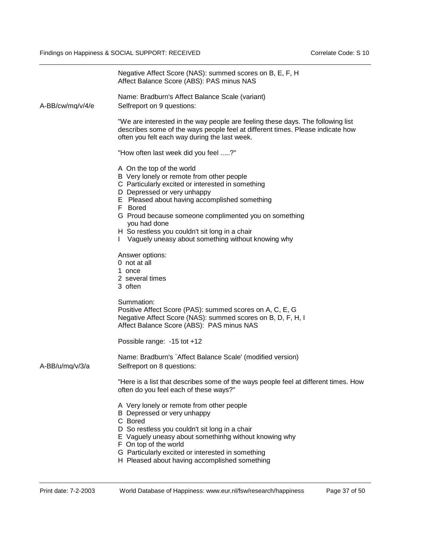|                  | Negative Affect Score (NAS): summed scores on B, E, F, H<br>Affect Balance Score (ABS): PAS minus NAS                                                                                                                                                                                                                                                                                                        |
|------------------|--------------------------------------------------------------------------------------------------------------------------------------------------------------------------------------------------------------------------------------------------------------------------------------------------------------------------------------------------------------------------------------------------------------|
| A-BB/cw/mg/v/4/e | Name: Bradburn's Affect Balance Scale (variant)<br>Selfreport on 9 questions:                                                                                                                                                                                                                                                                                                                                |
|                  | "We are interested in the way people are feeling these days. The following list<br>describes some of the ways people feel at different times. Please indicate how<br>often you felt each way during the last week.                                                                                                                                                                                           |
|                  | "How often last week did you feel ?"                                                                                                                                                                                                                                                                                                                                                                         |
|                  | A On the top of the world<br>B Very lonely or remote from other people<br>C Particularly excited or interested in something<br>D Depressed or very unhappy<br>E Pleased about having accomplished something<br>F Bored<br>G Proud because someone complimented you on something<br>you had done<br>H So restless you couldn't sit long in a chair<br>Vaguely uneasy about something without knowing why<br>L |
|                  | Answer options:<br>0 not at all<br>1 once<br>2 several times<br>3 often                                                                                                                                                                                                                                                                                                                                      |
|                  | Summation:<br>Positive Affect Score (PAS): summed scores on A, C, E, G<br>Negative Affect Score (NAS): summed scores on B, D, F, H, I<br>Affect Balance Score (ABS): PAS minus NAS                                                                                                                                                                                                                           |
|                  | Possible range: -15 tot +12                                                                                                                                                                                                                                                                                                                                                                                  |
| A-BB/u/mg/v/3/a  | Name: Bradburn's `Affect Balance Scale' (modified version)<br>Selfreport on 8 questions:                                                                                                                                                                                                                                                                                                                     |
|                  | "Here is a list that describes some of the ways people feel at different times. How<br>often do you feel each of these ways?"                                                                                                                                                                                                                                                                                |
|                  | A Very lonely or remote from other people<br>B Depressed or very unhappy<br>C Bored<br>D So restless you couldn't sit long in a chair<br>E Vaguely uneasy about somethinhg without knowing why<br>F On top of the world<br>G Particularly excited or interested in something<br>H Pleased about having accomplished something                                                                                |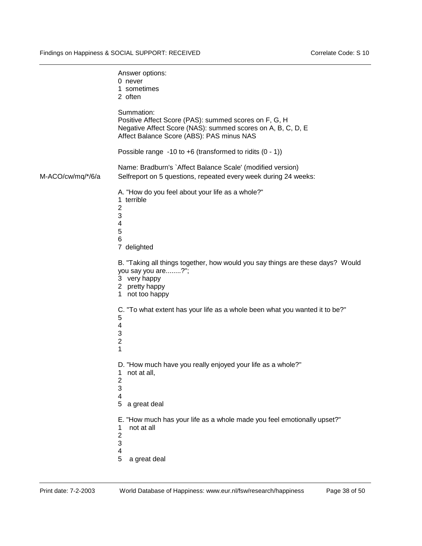|                   | Answer options:<br>0 never<br>1 sometimes<br>2 often                                                                                                                            |
|-------------------|---------------------------------------------------------------------------------------------------------------------------------------------------------------------------------|
|                   | Summation:<br>Positive Affect Score (PAS): summed scores on F, G, H<br>Negative Affect Score (NAS): summed scores on A, B, C, D, E<br>Affect Balance Score (ABS): PAS minus NAS |
|                   | Possible range -10 to +6 (transformed to ridits $(0 - 1)$ )                                                                                                                     |
| M-ACO/cw/mq/*/6/a | Name: Bradburn's `Affect Balance Scale' (modified version)<br>Selfreport on 5 questions, repeated every week during 24 weeks:                                                   |
|                   | A. "How do you feel about your life as a whole?"<br>1 terrible<br>$\overline{2}$<br>3<br>$\overline{\mathbf{4}}$<br>5<br>6<br>7 delighted                                       |
|                   | B. "Taking all things together, how would you say things are these days? Would<br>you say you are?";<br>3 very happy<br>2 pretty happy<br>not too happy<br>1                    |
|                   | C. "To what extent has your life as a whole been what you wanted it to be?"<br>5<br>4<br>3<br>$\overline{2}$<br>1                                                               |
|                   | D. "How much have you really enjoyed your life as a whole?"<br>not at all,<br>1.<br>$\overline{\mathbf{c}}$<br>$\ensuremath{\mathsf{3}}$<br>4                                   |
|                   | 5<br>a great deal                                                                                                                                                               |
|                   | E. "How much has your life as a whole made you feel emotionally upset?"<br>not at all<br>1<br>2<br>3<br>$\overline{\mathbf{4}}$                                                 |
|                   | 5<br>a great deal                                                                                                                                                               |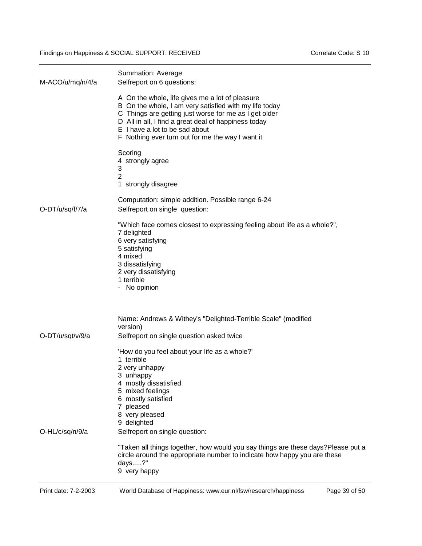| M-ACO/u/mq/n/4/a | Summation: Average<br>Selfreport on 6 questions:                                                                                                                                                                                                                                                                 |
|------------------|------------------------------------------------------------------------------------------------------------------------------------------------------------------------------------------------------------------------------------------------------------------------------------------------------------------|
|                  | A On the whole, life gives me a lot of pleasure<br>B On the whole, I am very satisfied with my life today<br>C Things are getting just worse for me as I get older<br>D All in all, I find a great deal of happiness today<br>E I have a lot to be sad about<br>F Nothing ever turn out for me the way I want it |
|                  | Scoring<br>4 strongly agree<br>3<br>2<br>1 strongly disagree                                                                                                                                                                                                                                                     |
| O-DT/u/sq/f/7/a  | Computation: simple addition. Possible range 6-24<br>Selfreport on single question:                                                                                                                                                                                                                              |
|                  | "Which face comes closest to expressing feeling about life as a whole?",<br>7 delighted<br>6 very satisfying<br>5 satisfying<br>4 mixed<br>3 dissatisfying<br>2 very dissatisfying<br>1 terrible<br>- No opinion                                                                                                 |
|                  | Name: Andrews & Withey's "Delighted-Terrible Scale" (modified<br>version)                                                                                                                                                                                                                                        |
| O-DT/u/sqt/v/9/a | Selfreport on single question asked twice                                                                                                                                                                                                                                                                        |
|                  | 'How do you feel about your life as a whole?'<br>1 terrible<br>2 very unhappy<br>3 unhappy<br>4 mostly dissatisfied<br>5 mixed feelings<br>6 mostly satisfied<br>7 pleased<br>8 very pleased<br>9 delighted                                                                                                      |
| O-HL/c/sq/n/9/a  | Selfreport on single question:                                                                                                                                                                                                                                                                                   |
|                  | "Taken all things together, how would you say things are these days?Please put a<br>circle around the appropriate number to indicate how happy you are these<br>days?"<br>9 very happy                                                                                                                           |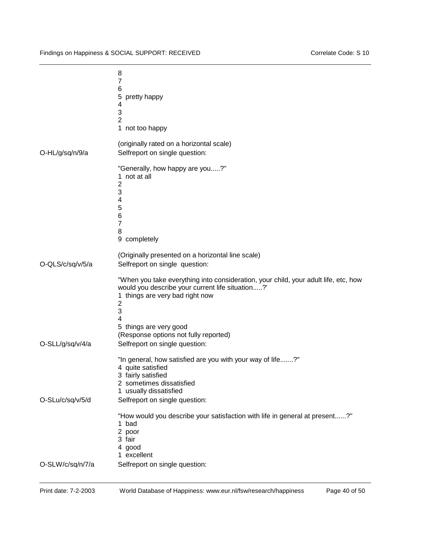| (originally rated on a horizontal scale)<br>O-HL/g/sq/n/9/a<br>Selfreport on single question:<br>"Generally, how happy are you?"<br>1 not at all<br>2<br>3<br>4<br>5<br>6<br>$\overline{7}$<br>8<br>9 completely<br>(Originally presented on a horizontal line scale)<br>O-QLS/c/sq/v/5/a<br>Selfreport on single question:<br>would you describe your current life situation?'<br>1 things are very bad right now<br>$\overline{2}$<br>3<br>4<br>5 things are very good<br>(Response options not fully reported)<br>O-SLL/g/sq/v/4/a<br>Selfreport on single question:<br>"In general, how satisfied are you with your way of life?"<br>4 quite satisfied<br>3 fairly satisfied<br>2 sometimes dissatisfied<br>usually dissatisfied<br>1<br>O-SLu/c/sq/v/5/d<br>Selfreport on single question:<br>"How would you describe your satisfaction with life in general at present?"<br>1 bad<br>2 poor<br>3 fair<br>4 good<br>1 excellent<br>O-SLW/c/sq/n/7/a<br>Selfreport on single question: | 8<br>7<br>6<br>5<br>pretty happy<br>4<br>3<br>$\overline{2}$<br>1 not too happy     |
|--------------------------------------------------------------------------------------------------------------------------------------------------------------------------------------------------------------------------------------------------------------------------------------------------------------------------------------------------------------------------------------------------------------------------------------------------------------------------------------------------------------------------------------------------------------------------------------------------------------------------------------------------------------------------------------------------------------------------------------------------------------------------------------------------------------------------------------------------------------------------------------------------------------------------------------------------------------------------------------------|-------------------------------------------------------------------------------------|
|                                                                                                                                                                                                                                                                                                                                                                                                                                                                                                                                                                                                                                                                                                                                                                                                                                                                                                                                                                                            |                                                                                     |
|                                                                                                                                                                                                                                                                                                                                                                                                                                                                                                                                                                                                                                                                                                                                                                                                                                                                                                                                                                                            |                                                                                     |
|                                                                                                                                                                                                                                                                                                                                                                                                                                                                                                                                                                                                                                                                                                                                                                                                                                                                                                                                                                                            |                                                                                     |
|                                                                                                                                                                                                                                                                                                                                                                                                                                                                                                                                                                                                                                                                                                                                                                                                                                                                                                                                                                                            | "When you take everything into consideration, your child, your adult life, etc, how |
|                                                                                                                                                                                                                                                                                                                                                                                                                                                                                                                                                                                                                                                                                                                                                                                                                                                                                                                                                                                            |                                                                                     |
|                                                                                                                                                                                                                                                                                                                                                                                                                                                                                                                                                                                                                                                                                                                                                                                                                                                                                                                                                                                            |                                                                                     |
|                                                                                                                                                                                                                                                                                                                                                                                                                                                                                                                                                                                                                                                                                                                                                                                                                                                                                                                                                                                            |                                                                                     |
|                                                                                                                                                                                                                                                                                                                                                                                                                                                                                                                                                                                                                                                                                                                                                                                                                                                                                                                                                                                            |                                                                                     |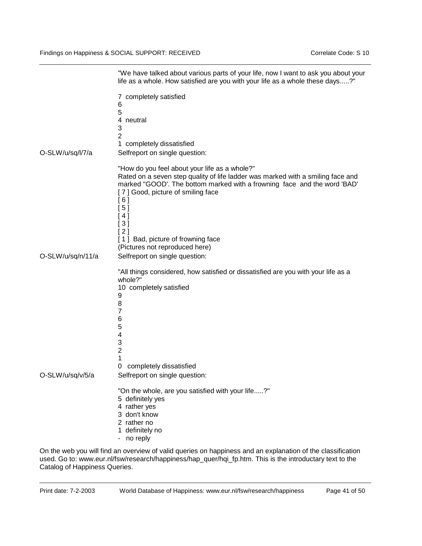|                   | life as a whole. How satisfied are you with your life as a whole these days?"                                                                                                                                                                                                                                                                                  |
|-------------------|----------------------------------------------------------------------------------------------------------------------------------------------------------------------------------------------------------------------------------------------------------------------------------------------------------------------------------------------------------------|
| O-SLW/u/sq/l/7/a  | 7 completely satisfied<br>6<br>5<br>4 neutral<br>3<br>$\overline{2}$<br>1 completely dissatisfied<br>Selfreport on single question:                                                                                                                                                                                                                            |
|                   | "How do you feel about your life as a whole?"<br>Rated on a seven step quality of life ladder was marked with a smiling face and<br>marked "GOOD'. The bottom marked with a frowning face and the word 'BAD'<br>[7] Good, picture of smiling face<br>[6]<br>[ 5 ]<br>4]<br>[ 3 ]<br>[2]<br>[1] Bad, picture of frowning face<br>(Pictures not reproduced here) |
| O-SLW/u/sq/n/11/a | Selfreport on single question:                                                                                                                                                                                                                                                                                                                                 |
|                   | "All things considered, how satisfied or dissatisfied are you with your life as a<br>whole?"<br>10 completely satisfied<br>9<br>8<br>7<br>6<br>5<br>$\overline{\mathbf{4}}$<br>3<br>$\overline{c}$<br>1<br>completely dissatisfied<br>0                                                                                                                        |
| O-SLW/u/sq/v/5/a  | Selfreport on single question:                                                                                                                                                                                                                                                                                                                                 |
|                   | "On the whole, are you satisfied with your life?"<br>5 definitely yes<br>4 rather yes<br>3 don't know<br>2 rather no<br>1 definitely no<br>- no reply                                                                                                                                                                                                          |
|                   | On the web you will find an overview of valid queries on happiness and an explanation of the classification                                                                                                                                                                                                                                                    |

"We have talked about various parts of your life, now I want to ask you about your

used. Go to: www.eur.nl/fsw/research/happiness/hap\_quer/hqi\_fp.htm. This is the introductary text to the Catalog of Happiness Queries.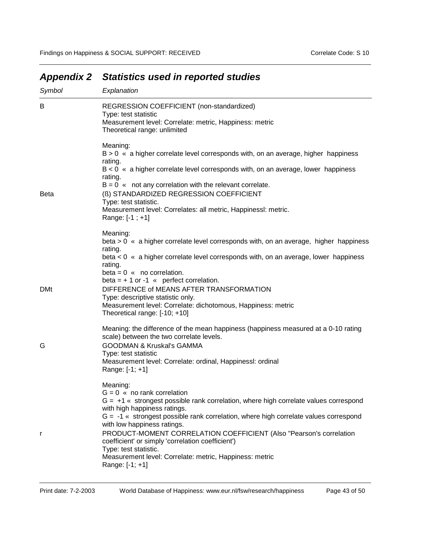| Symbol      | Explanation                                                                                                                                                                                                                                                                                                                                                                                                                                                                                                                     |
|-------------|---------------------------------------------------------------------------------------------------------------------------------------------------------------------------------------------------------------------------------------------------------------------------------------------------------------------------------------------------------------------------------------------------------------------------------------------------------------------------------------------------------------------------------|
| B           | REGRESSION COEFFICIENT (non-standardized)<br>Type: test statistic<br>Measurement level: Correlate: metric, Happiness: metric<br>Theoretical range: unlimited                                                                                                                                                                                                                                                                                                                                                                    |
|             | Meaning:<br>$B > 0$ « a higher correlate level corresponds with, on an average, higher happiness<br>rating.<br>$B < 0$ « a higher correlate level corresponds with, on an average, lower happiness                                                                                                                                                                                                                                                                                                                              |
|             | rating.<br>$B = 0$ « not any correlation with the relevant correlate.                                                                                                                                                                                                                                                                                                                                                                                                                                                           |
| <b>Beta</b> | (ß) STANDARDIZED REGRESSION COEFFICIENT<br>Type: test statistic.<br>Measurement level: Correlates: all metric, Happinessl: metric.<br>Range: [-1 ; +1]                                                                                                                                                                                                                                                                                                                                                                          |
|             | Meaning:<br>beta > 0 « a higher correlate level corresponds with, on an average, higher happiness<br>rating.<br>beta < 0 « a higher correlate level corresponds with, on an average, lower happiness<br>rating.                                                                                                                                                                                                                                                                                                                 |
| <b>DMt</b>  | $beta = 0$ « no correlation.<br>beta = $+1$ or -1 « perfect correlation.<br>DIFFERENCE of MEANS AFTER TRANSFORMATION<br>Type: descriptive statistic only.<br>Measurement level: Correlate: dichotomous, Happiness: metric<br>Theoretical range: [-10; +10]                                                                                                                                                                                                                                                                      |
| G           | Meaning: the difference of the mean happiness (happiness measured at a 0-10 rating<br>scale) between the two correlate levels.<br><b>GOODMAN &amp; Kruskal's GAMMA</b><br>Type: test statistic<br>Measurement level: Correlate: ordinal, Happinessl: ordinal<br>Range: [-1; +1]                                                                                                                                                                                                                                                 |
| r           | Meaning:<br>$G = 0$ « no rank correlation<br>$G = +1$ « strongest possible rank correlation, where high correlate values correspond<br>with high happiness ratings.<br>$G = -1$ « strongest possible rank correlation, where high correlate values correspond<br>with low happiness ratings.<br>PRODUCT-MOMENT CORRELATION COEFFICIENT (Also "Pearson's correlation<br>coefficient' or simply 'correlation coefficient')<br>Type: test statistic.<br>Measurement level: Correlate: metric, Happiness: metric<br>Range: [-1; +1] |

# *Appendix 2 Statistics used in reported studies*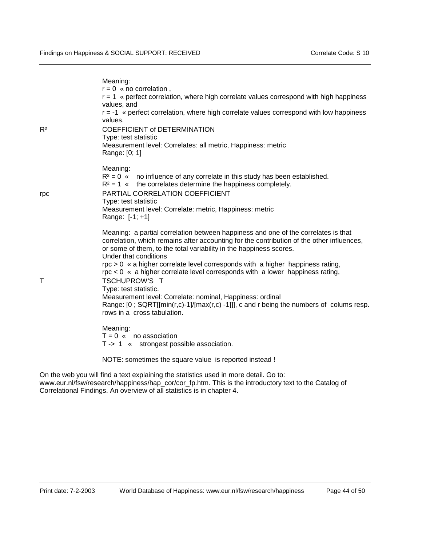| $R^2$  | Meaning:<br>$r = 0$ « no correlation,<br>r = 1 « perfect correlation, where high correlate values correspond with high happiness<br>values, and<br>$r = -1$ « perfect correlation, where high correlate values correspond with low happiness<br>values.<br><b>COEFFICIENT of DETERMINATION</b><br>Type: test statistic<br>Measurement level: Correlates: all metric, Happiness: metric<br>Range: [0; 1]                                                                                                                                                                                                                                                                                                                            |
|--------|------------------------------------------------------------------------------------------------------------------------------------------------------------------------------------------------------------------------------------------------------------------------------------------------------------------------------------------------------------------------------------------------------------------------------------------------------------------------------------------------------------------------------------------------------------------------------------------------------------------------------------------------------------------------------------------------------------------------------------|
| rpc    | Meaning:<br>$R^2 = 0$ « no influence of any correlate in this study has been established.<br>$R^2 = 1$ « the correlates determine the happiness completely.<br>PARTIAL CORRELATION COEFFICIENT<br>Type: test statistic<br>Measurement level: Correlate: metric, Happiness: metric<br>Range: [-1; +1]                                                                                                                                                                                                                                                                                                                                                                                                                               |
| $\top$ | Meaning: a partial correlation between happiness and one of the correlates is that<br>correlation, which remains after accounting for the contribution of the other influences,<br>or some of them, to the total variability in the happiness scores.<br>Under that conditions<br>$\eta$ = 0 $\alpha$ a higher correlate level corresponds with a higher happiness rating,<br>$\text{rpc} < 0$ « a higher correlate level corresponds with a lower happiness rating,<br><b>TSCHUPROW'S T</b><br>Type: test statistic.<br>Measurement level: Correlate: nominal, Happiness: ordinal<br>Range: $[0; \text{SQRT}[[\text{min}(r,c)-1]/[\text{max}(r,c)-1]]$ , c and r being the numbers of colums resp.<br>rows in a cross tabulation. |
|        | Meaning:<br>$T = 0$ « no association<br>T-> 1 « strongest possible association.                                                                                                                                                                                                                                                                                                                                                                                                                                                                                                                                                                                                                                                    |
|        | NOTE: sometimes the square value is reported instead !                                                                                                                                                                                                                                                                                                                                                                                                                                                                                                                                                                                                                                                                             |

On the web you will find a text explaining the statistics used in more detail. Go to: www.eur.nl/fsw/research/happiness/hap\_cor/cor\_fp.htm. This is the introductory text to the Catalog of Correlational Findings. An overview of all statistics is in chapter 4.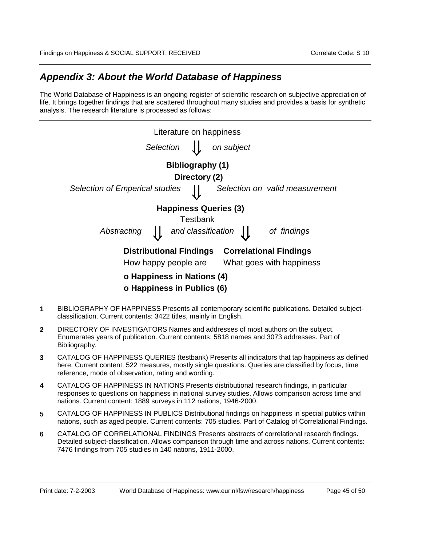## *Appendix 3: About the World Database of Happiness*

The World Database of Happiness is an ongoing register of scientific research on subjective appreciation of life. It brings together findings that are scattered throughout many studies and provides a basis for synthetic analysis. The research literature is processed as follows:

| Literature on happiness                                         |                                |  |  |
|-----------------------------------------------------------------|--------------------------------|--|--|
| Selection                                                       | on subject                     |  |  |
| Bibliography (1)                                                |                                |  |  |
| Directory (2)                                                   |                                |  |  |
| <b>Selection of Emperical studies</b>                           | Selection on valid measurement |  |  |
| <b>Happiness Queries (3)</b>                                    |                                |  |  |
| Testbank                                                        |                                |  |  |
| and classification $\int$<br>Abstracting                        | of findings                    |  |  |
| <b>Correlational Findings</b><br><b>Distributional Findings</b> |                                |  |  |
| What goes with happiness<br>How happy people are                |                                |  |  |
| o Happiness in Nations (4)                                      |                                |  |  |
| o Happiness in Publics (6)                                      |                                |  |  |

- **1** BIBLIOGRAPHY OF HAPPINESS Presents all contemporary scientific publications. Detailed subjectclassification. Current contents: 3422 titles, mainly in English.
- **2** DIRECTORY OF INVESTIGATORS Names and addresses of most authors on the subject. Enumerates years of publication. Current contents: 5818 names and 3073 addresses. Part of Bibliography.
- **3** CATALOG OF HAPPINESS QUERIES (testbank) Presents all indicators that tap happiness as defined here. Current content: 522 measures, mostly single questions. Queries are classified by focus, time reference, mode of observation, rating and wording.
- **4** CATALOG OF HAPPINESS IN NATIONS Presents distributional research findings, in particular responses to questions on happiness in national survey studies. Allows comparison across time and nations. Current content: 1889 surveys in 112 nations, 1946-2000.
- **5** CATALOG OF HAPPINESS IN PUBLICS Distributional findings on happiness in special publics within nations, such as aged people. Current contents: 705 studies. Part of Catalog of Correlational Findings.
- **6** CATALOG OF CORRELATIONAL FINDINGS Presents abstracts of correlational research findings. Detailed subject-classification. Allows comparison through time and across nations. Current contents: 7476 findings from 705 studies in 140 nations, 1911-2000.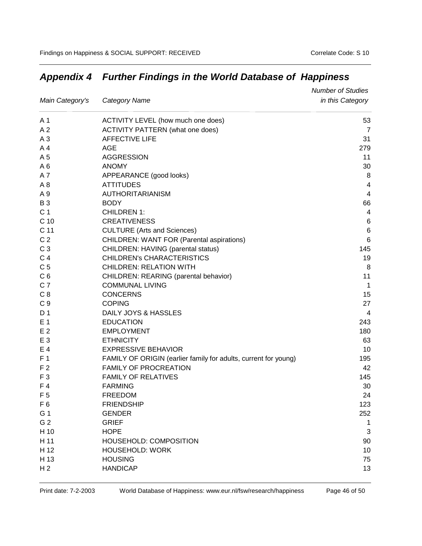|                 |                                                                 | <b>Number of Studies</b> |
|-----------------|-----------------------------------------------------------------|--------------------------|
| Main Category's | <b>Category Name</b>                                            | in this Category         |
| A 1             | ACTIVITY LEVEL (how much one does)                              | 53                       |
| A <sub>2</sub>  | <b>ACTIVITY PATTERN (what one does)</b>                         | 7                        |
| A <sub>3</sub>  | <b>AFFECTIVE LIFE</b>                                           | 31                       |
| A <sub>4</sub>  | AGE                                                             | 279                      |
| A 5             | <b>AGGRESSION</b>                                               | 11                       |
| A6              | <b>ANOMY</b>                                                    | 30                       |
| A7              | APPEARANCE (good looks)                                         | 8                        |
| A <sub>8</sub>  | <b>ATTITUDES</b>                                                | 4                        |
| A 9             | AUTHORITARIANISM                                                | 4                        |
| <b>B3</b>       | <b>BODY</b>                                                     | 66                       |
| C <sub>1</sub>  | <b>CHILDREN 1:</b>                                              | 4                        |
| C <sub>10</sub> | <b>CREATIVENESS</b>                                             | 6                        |
| C 11            | <b>CULTURE</b> (Arts and Sciences)                              | $\,6$                    |
| C <sub>2</sub>  | <b>CHILDREN: WANT FOR (Parental aspirations)</b>                | 6                        |
| C <sub>3</sub>  | CHILDREN: HAVING (parental status)                              | 145                      |
| C <sub>4</sub>  | CHILDREN's CHARACTERISTICS                                      | 19                       |
| C <sub>5</sub>  | <b>CHILDREN: RELATION WITH</b>                                  | 8                        |
| C <sub>6</sub>  | CHILDREN: REARING (parental behavior)                           | 11                       |
| C <sub>7</sub>  | <b>COMMUNAL LIVING</b>                                          | $\mathbf{1}$             |
| C <sub>8</sub>  | <b>CONCERNS</b>                                                 | 15                       |
| C <sub>9</sub>  | <b>COPING</b>                                                   | 27                       |
| D 1             | DAILY JOYS & HASSLES                                            | 4                        |
| E <sub>1</sub>  | <b>EDUCATION</b>                                                | 243                      |
| E <sub>2</sub>  | <b>EMPLOYMENT</b>                                               | 180                      |
| E <sub>3</sub>  | <b>ETHNICITY</b>                                                | 63                       |
| E 4             | <b>EXPRESSIVE BEHAVIOR</b>                                      | 10                       |
| F <sub>1</sub>  | FAMILY OF ORIGIN (earlier family for adults, current for young) | 195                      |
| F <sub>2</sub>  | <b>FAMILY OF PROCREATION</b>                                    | 42                       |
| F <sub>3</sub>  | <b>FAMILY OF RELATIVES</b>                                      | 145                      |
| F 4             | <b>FARMING</b>                                                  | 30                       |
| F <sub>5</sub>  | <b>FREEDOM</b>                                                  | 24                       |
| F <sub>6</sub>  | <b>FRIENDSHIP</b>                                               | 123                      |
| G 1             | <b>GENDER</b>                                                   | 252                      |
| G 2             | <b>GRIEF</b>                                                    | 1                        |
| H 10            | <b>HOPE</b>                                                     | 3                        |
| H 11            | <b>HOUSEHOLD: COMPOSITION</b>                                   | 90                       |
| H 12            | <b>HOUSEHOLD: WORK</b>                                          | 10                       |
| H 13            | <b>HOUSING</b>                                                  | 75                       |
| H <sub>2</sub>  | <b>HANDICAP</b>                                                 | 13                       |

# *Appendix 4 Further Findings in the World Database of Happiness*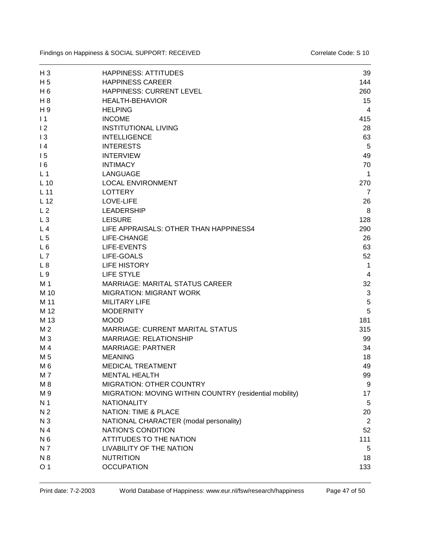| $H_3$           | <b>HAPPINESS: ATTITUDES</b>                                              | 39             |
|-----------------|--------------------------------------------------------------------------|----------------|
| H <sub>5</sub>  | <b>HAPPINESS CAREER</b>                                                  | 144            |
| $H_6$           | HAPPINESS: CURRENT LEVEL                                                 | 260            |
| H <sub>8</sub>  | <b>HEALTH-BEHAVIOR</b>                                                   | 15             |
| H <sub>9</sub>  | <b>HELPING</b>                                                           | 4              |
| $\vert$ 1       | <b>INCOME</b>                                                            | 415            |
| 12              | <b>INSTITUTIONAL LIVING</b>                                              | 28             |
| 13              | <b>INTELLIGENCE</b>                                                      | 63             |
| 4               | <b>INTERESTS</b>                                                         | 5              |
| 15              | <b>INTERVIEW</b>                                                         | 49             |
| 16              | <b>INTIMACY</b>                                                          | 70             |
| L <sub>1</sub>  | <b>LANGUAGE</b>                                                          | 1              |
| $L$ 10          | <b>LOCAL ENVIRONMENT</b>                                                 | 270            |
| $L$ 11          | <b>LOTTERY</b>                                                           | $\overline{7}$ |
| L <sub>12</sub> | LOVE-LIFE                                                                | 26             |
| L <sub>2</sub>  | <b>LEADERSHIP</b>                                                        | 8              |
| $L_3$           | <b>LEISURE</b>                                                           | 128            |
| L <sub>4</sub>  | LIFE APPRAISALS: OTHER THAN HAPPINESS4                                   | 290            |
| L <sub>5</sub>  | LIFE-CHANGE                                                              | 26             |
| $L_6$           | LIFE-EVENTS                                                              | 63             |
| L7              | LIFE-GOALS                                                               | 52             |
| L8              | <b>LIFE HISTORY</b>                                                      | 1              |
| L <sub>9</sub>  | LIFE STYLE                                                               | 4              |
| M 1             | <b>MARRIAGE: MARITAL STATUS CAREER</b>                                   | 32             |
| M 10            | <b>MIGRATION: MIGRANT WORK</b>                                           | 3              |
| M 11            | <b>MILITARY LIFE</b>                                                     | 5              |
| M 12            | <b>MODERNITY</b>                                                         | 5              |
| M 13            | <b>MOOD</b>                                                              | 181            |
|                 |                                                                          |                |
| M 2             | <b>MARRIAGE: CURRENT MARITAL STATUS</b><br><b>MARRIAGE: RELATIONSHIP</b> | 315            |
| M <sub>3</sub>  |                                                                          | 99             |
| M 4             | <b>MARRIAGE: PARTNER</b>                                                 | 34             |
| M 5             | <b>MEANING</b>                                                           | 18             |
| M <sub>6</sub>  | <b>MEDICAL TREATMENT</b>                                                 | 49             |
| M 7             | <b>MENTAL HEALTH</b>                                                     | 99             |
| M 8             | <b>MIGRATION: OTHER COUNTRY</b>                                          | 9              |
| M 9             | MIGRATION: MOVING WITHIN COUNTRY (residential mobility)                  | 17             |
| N <sub>1</sub>  | <b>NATIONALITY</b>                                                       | 5              |
| N <sub>2</sub>  | <b>NATION: TIME &amp; PLACE</b>                                          | 20             |
| N <sub>3</sub>  | NATIONAL CHARACTER (modal personality)                                   | $\overline{2}$ |
| N 4             | NATION'S CONDITION                                                       | 52             |
| N <sub>6</sub>  | <b>ATTITUDES TO THE NATION</b>                                           | 111            |
| N 7             | LIVABILITY OF THE NATION                                                 | 5              |
| N 8             | <b>NUTRITION</b>                                                         | 18             |
| O <sub>1</sub>  | <b>OCCUPATION</b>                                                        | 133            |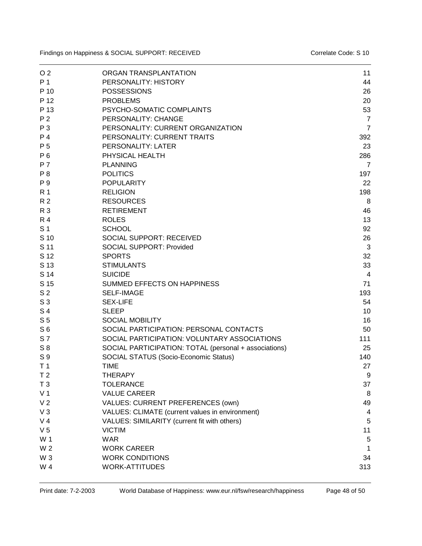| O <sub>2</sub> | ORGAN TRANSPLANTATION                                 | 11             |
|----------------|-------------------------------------------------------|----------------|
| P 1            | PERSONALITY: HISTORY                                  | 44             |
| P 10           | <b>POSSESSIONS</b>                                    | 26             |
| P 12           | <b>PROBLEMS</b>                                       | 20             |
| P 13           | PSYCHO-SOMATIC COMPLAINTS                             | 53             |
| P <sub>2</sub> | PERSONALITY: CHANGE                                   | $\overline{7}$ |
| P 3            | PERSONALITY: CURRENT ORGANIZATION                     | $\overline{7}$ |
| P <sub>4</sub> | PERSONALITY: CURRENT TRAITS                           | 392            |
| P 5            | <b>PERSONALITY: LATER</b>                             | 23             |
| P 6            | PHYSICAL HEALTH                                       | 286            |
| P 7            | <b>PLANNING</b>                                       | $\overline{7}$ |
| P <sub>8</sub> | <b>POLITICS</b>                                       | 197            |
| P 9            | <b>POPULARITY</b>                                     | 22             |
| <b>R</b> 1     | <b>RELIGION</b>                                       | 198            |
| R <sub>2</sub> | <b>RESOURCES</b>                                      | 8              |
| R 3            | <b>RETIREMENT</b>                                     | 46             |
| <b>R4</b>      | <b>ROLES</b>                                          | 13             |
| S <sub>1</sub> |                                                       |                |
|                | <b>SCHOOL</b>                                         | 92             |
| S 10           | <b>SOCIAL SUPPORT: RECEIVED</b>                       | 26             |
| S 11           | <b>SOCIAL SUPPORT: Provided</b>                       | 3              |
| S 12           | <b>SPORTS</b>                                         | 32             |
| S 13           | <b>STIMULANTS</b>                                     | 33             |
| S 14           | <b>SUICIDE</b>                                        | 4              |
| S 15           | SUMMED EFFECTS ON HAPPINESS                           | 71             |
| S <sub>2</sub> | <b>SELF-IMAGE</b>                                     | 193            |
| S <sub>3</sub> | <b>SEX-LIFE</b>                                       | 54             |
| S <sub>4</sub> | <b>SLEEP</b>                                          | 10             |
| S <sub>5</sub> | <b>SOCIAL MOBILITY</b>                                | 16             |
| S <sub>6</sub> | SOCIAL PARTICIPATION: PERSONAL CONTACTS               | 50             |
| <b>S7</b>      | SOCIAL PARTICIPATION: VOLUNTARY ASSOCIATIONS          | 111            |
| $S_8$          | SOCIAL PARTICIPATION: TOTAL (personal + associations) | 25             |
| S 9            | SOCIAL STATUS (Socio-Economic Status)                 | 140            |
| T <sub>1</sub> | <b>TIME</b>                                           | 27             |
| T <sub>2</sub> | <b>THERAPY</b>                                        | 9              |
| T <sub>3</sub> | <b>TOLERANCE</b>                                      | 37             |
| V <sub>1</sub> | <b>VALUE CAREER</b>                                   | 8              |
| V <sub>2</sub> | VALUES: CURRENT PREFERENCES (own)                     | 49             |
| $V_3$          | VALUES: CLIMATE (current values in environment)       | 4              |
| V <sub>4</sub> | VALUES: SIMILARITY (current fit with others)          | 5              |
| V <sub>5</sub> | <b>VICTIM</b>                                         | 11             |
| W 1            | <b>WAR</b>                                            | $\sqrt{5}$     |
| W 2            | <b>WORK CAREER</b>                                    | 1              |
| W <sub>3</sub> | <b>WORK CONDITIONS</b>                                | 34             |
| W 4            | <b>WORK-ATTITUDES</b>                                 | 313            |
|                |                                                       |                |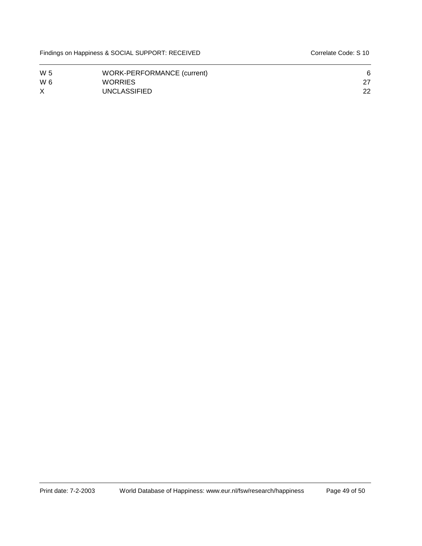| W 5      | WORK-PERFORMANCE (current) |    |
|----------|----------------------------|----|
| W 6      | WORRIES                    |    |
| $\times$ | <b>UNCLASSIFIED</b>        | 22 |